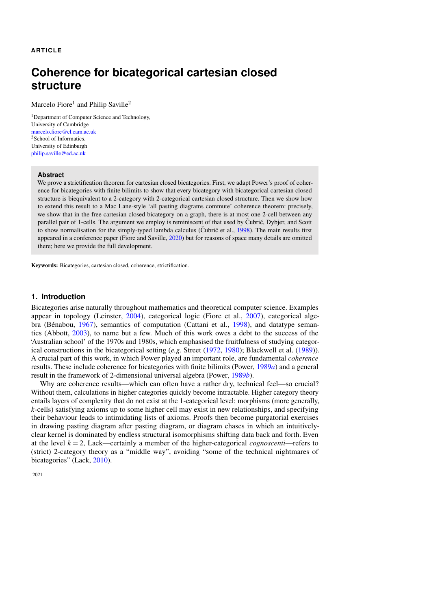## **ARTICLE**

# **Coherence for bicategorical cartesian closed structure**

Marcelo Fiore<sup>1</sup> and Philip Saville<sup>2</sup>

<sup>1</sup>Department of Computer Science and Technology, University of Cambridge [marcelo.fiore@cl.cam.ac.uk](mailto:marcelo.fiore@cl.cam.ac.uk) <sup>2</sup>School of Informatics, University of Edinburgh [philip.saville@ed.ac.uk](mailto:philip.saville@ed.ac.uk)

#### **Abstract**

We prove a strictification theorem for cartesian closed bicategories. First, we adapt Power's proof of coherence for bicategories with finite bilimits to show that every bicategory with bicategorical cartesian closed structure is biequivalent to a 2-category with 2-categorical cartesian closed structure. Then we show how to extend this result to a Mac Lane-style 'all pasting diagrams commute' coherence theorem: precisely, we show that in the free cartesian closed bicategory on a graph, there is at most one 2-cell between any parallel pair of 1-cells. The argument we employ is reminiscent of that used by Cubrić, Dybjer, and Scott to show normalisation for the simply-typed lambda calculus (Cubric et al., [1998\)](#page-21-0). The main results first appeared in a conference paper (Fiore and Saville, [2020\)](#page-21-1) but for reasons of space many details are omitted there; here we provide the full development.

Keywords: Bicategories, cartesian closed, coherence, strictification.

## **1. Introduction**

Bicategories arise naturally throughout mathematics and theoretical computer science. Examples appear in topology (Leinster, [2004\)](#page-22-0), categorical logic (Fiore et al., [2007\)](#page-21-2), categorical algebra (Bénabou,  $1967$ ), semantics of computation (Cattani et al., [1998\)](#page-21-4), and datatype semantics (Abbott, [2003\)](#page-21-5), to name but a few. Much of this work owes a debt to the success of the 'Australian school' of the 1970s and 1980s, which emphasised the fruitfulness of studying categorical constructions in the bicategorical setting (*e.g.* Street [\(1972,](#page-22-1) [1980\)](#page-22-2); Blackwell et al. [\(1989\)](#page-21-6)). A crucial part of this work, in which Power played an important role, are fundamental *coherence* results. These include coherence for bicategories with finite bilimits (Power, [1989](#page-22-3)*a*) and a general result in the framework of 2-dimensional universal algebra (Power, [1989](#page-22-4)*b*).

Why are coherence results—which can often have a rather dry, technical feel—so crucial? Without them, calculations in higher categories quickly become intractable. Higher category theory entails layers of complexity that do not exist at the 1-categorical level: morphisms (more generally, *k*-cells) satisfying axioms up to some higher cell may exist in new relationships, and specifying their behaviour leads to intimidating lists of axioms. Proofs then become purgatorial exercises in drawing pasting diagram after pasting diagram, or diagram chases in which an intuitivelyclear kernel is dominated by endless structural isomorphisms shifting data back and forth. Even at the level  $k = 2$ , Lack—certainly a member of the higher-categorical *cognoscenti*—refers to (strict) 2-category theory as a "middle way", avoiding "some of the technical nightmares of bicategories" (Lack, [2010\)](#page-22-5).

2021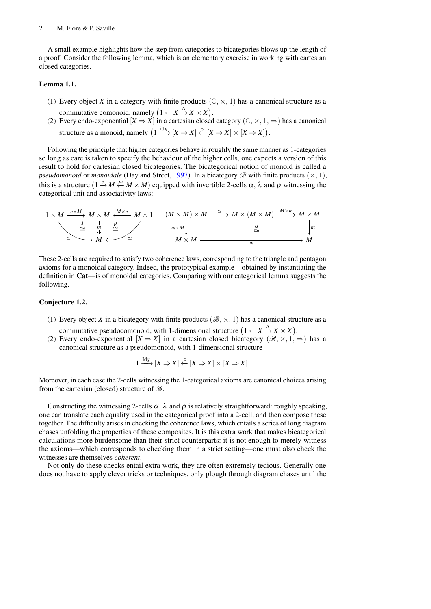#### 2 M. Fiore & P. Saville

A small example highlights how the step from categories to bicategories blows up the length of a proof. Consider the following lemma, which is an elementary exercise in working with cartesian closed categories.

#### <span id="page-1-1"></span>Lemma 1.1.

- (1) Every object *X* in a category with finite products  $(\mathbb{C}, \times, 1)$  has a canonical structure as a commutative comonoid, namely  $(1 \stackrel{!}{\leftarrow} X \stackrel{\Delta}{\rightarrow} X \times X)$ .
- (2) Every endo-exponential  $[X \Rightarrow X]$  in a cartesian closed category  $(\mathbb{C}, \times, 1, \Rightarrow)$  has a canonical structure as a monoid, namely  $(1 \xrightarrow{\text{idx}} [X \Rightarrow X] \overset{\circ}{\leftarrow} [X \Rightarrow X] \times [X \Rightarrow X]).$

Following the principle that higher categories behave in roughly the same manner as 1-categories so long as care is taken to specify the behaviour of the higher cells, one expects a version of this result to hold for cartesian closed bicategories. The bicategorical notion of monoid is called a *pseudomonoid* or *monoidale* (Day and Street, [1997\)](#page-21-7). In a bicategory  $\mathscr{B}$  with finite products ( $\times$ , 1), this is a structure  $(1 \stackrel{e}{\to} M \stackrel{m}{\leftarrow} M \times M)$  equipped with invertible 2-cells  $\alpha, \lambda$  and  $\rho$  witnessing the categorical unit and associativity laws:

$$
1 \times M \xrightarrow{e \times M} M \times M \xleftarrow{M \times e} M \times 1 \qquad (M \times M) \times M \xrightarrow{\simeq} M \times (M \times M) \xrightarrow{M \times m} M \times M
$$
  
\n
$$
\xrightarrow{\overset{\lambda}{\cong}} \xrightarrow{m} \xrightarrow{m} \xrightarrow{m} \xrightarrow{m \times M} M \xrightarrow{m} \xrightarrow{m} \xrightarrow{m} M
$$

These 2-cells are required to satisfy two coherence laws, corresponding to the triangle and pentagon axioms for a monoidal category. Indeed, the prototypical example—obtained by instantiating the definition in Cat—is of monoidal categories. Comparing with our categorical lemma suggests the following.

## <span id="page-1-0"></span>Conjecture 1.2.

- (1) Every object *X* in a bicategory with finite products  $(\mathcal{B}, \times, 1)$  has a canonical structure as a commutative pseudocomonoid, with 1-dimensional structure  $(1 \stackrel{!}{\leftarrow} X \stackrel{\Delta}{\rightarrow} X \times X)$ .
- (2) Every endo-exponential  $[X \Rightarrow X]$  in a cartesian closed bicategory  $(\mathcal{B}, \times, 1, \Rightarrow)$  has a canonical structure as a pseudomonoid, with 1-dimensional structure

$$
1 \xrightarrow{\mathrm{Id}_X} [X \Rightarrow X] \xleftarrow{\circ} [X \Rightarrow X] \times [X \Rightarrow X].
$$

Moreover, in each case the 2-cells witnessing the 1-categorical axioms are canonical choices arising from the cartesian (closed) structure of  $\mathscr{B}$ .

Constructing the witnessing 2-cells  $\alpha$ ,  $\lambda$  and  $\rho$  is relatively straightforward: roughly speaking, one can translate each equality used in the categorical proof into a 2-cell, and then compose these together. The difficulty arises in checking the coherence laws, which entails a series of long diagram chases unfolding the properties of these composites. It is this extra work that makes bicategorical calculations more burdensome than their strict counterparts: it is not enough to merely witness the axioms—which corresponds to checking them in a strict setting—one must also check the witnesses are themselves *coherent*.

Not only do these checks entail extra work, they are often extremely tedious. Generally one does not have to apply clever tricks or techniques, only plough through diagram chases until the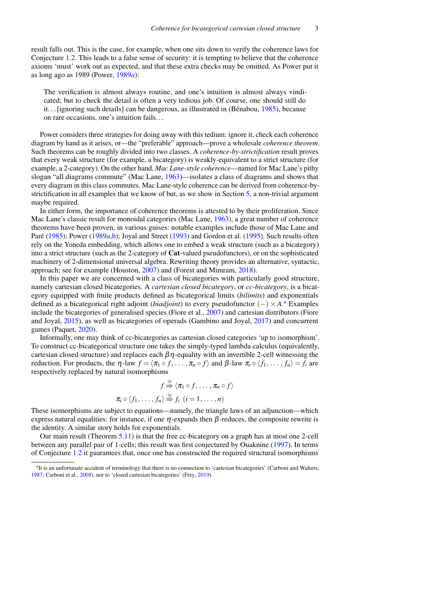result falls out. This is the case, for example, when one sits down to verify the coherence laws for Conjecture [1.2.](#page-1-0) This leads to a false sense of security: it is tempting to believe that the coherence axioms 'must' work out as expected, and that these extra checks may be omitted. As Power put it as long ago as 1989 (Power, [1989](#page-22-3)*a*):

The verification is almost always routine, and one's intuition is almost always vindicated; but to check the detail is often a very tedious job. Of course, one should still do it... [ignoring such details] can be dangerous, as illustrated in  $(Bénabou, 1985)$  $(Bénabou, 1985)$ , because on rare occasions, one's intuition fails. . .

Power considers three strategies for doing away with this tedium: ignore it, check each coherence diagram by hand as it arises, or—the "preferable" approach—prove a wholesale *coherence theorem*. Such theorems can be roughly divided into two classes. A *coherence-by-strictification* result proves that every weak structure (for example, a bicategory) is weakly-equivalent to a strict structure (for example, a 2-category). On the other hand, *Mac Lane-style coherence*—named for Mac Lane's pithy slogan "all diagrams commute" (Mac Lane, [1963\)](#page-22-6)—isolates a class of diagrams and shows that every diagram in this class commutes. Mac Lane-style coherence can be derived from coherence-bystrictification in all examples that we know of but, as we show in Section [5,](#page-13-0) a non-trivial argument maybe required.

In either form, the importance of coherence theorems is attested to by their proliferation. Since Mac Lane's classic result for monoidal categories (Mac Lane, [1963\)](#page-22-6), a great number of coherence theorems have been proven, in various guises: notable examples include those of Mac Lane and Paré ([1985\)](#page-22-7); Power [\(1989](#page-22-3)*a*[,b\)](#page-22-4); Joyal and Street [\(1993\)](#page-22-8) and Gordon et al. [\(1995\)](#page-21-9). Such results often rely on the Yoneda embedding, which allows one to embed a weak structure (such as a bicategory) into a strict structure (such as the 2-category of Cat-valued pseudofunctors), or on the sophisticated machinery of 2-dimensional universal algebra. Rewriting theory provides an alternative, syntactic, approach; see for example (Houston, [2007\)](#page-22-9) and (Forest and Mimram, [2018\)](#page-21-10).

In this paper we are concerned with a class of bicategories with particularly good structure, namely cartesian closed bicategories. A *cartesian closed bicategory*, or *cc-bicategory*, is a bicategory equipped with finite products defined as bicategorical limits (*bilimits*) and exponentials defined as a bicategorical right adjoint (*biadjoint*) to every pseudofunctor (−) × *A*. [a](#page-2-0) Examples include the bicategories of generalised species (Fiore et al., [2007\)](#page-21-2) and cartesian distributors (Fiore and Joyal, [2015\)](#page-21-11), as well as bicategories of operads (Gambino and Joyal, [2017\)](#page-21-12) and concurrent games (Paquet, [2020\)](#page-22-10).

Informally, one may think of cc-bicategories as cartesian closed categories 'up to isomorphism'. To construct cc-bicategorical structure one takes the simply-typed lambda calculus (equivalently, cartesian closed structure) and replaces each  $\beta \eta$ -equality with an invertible 2-cell witnessing the reduction. For products, the  $\eta$ -law  $f = \langle \pi_1 \circ f, \ldots, \pi_n \circ f \rangle$  and  $\beta$ -law  $\pi_i \circ \langle f_1, \ldots, f_n \rangle = f_i$  are respectively replaced by natural isomorphisms

$$
f \stackrel{\cong}{\Rightarrow} \langle \pi_1 \circ f, \dots, \pi_n \circ f \rangle
$$

$$
\pi_i \circ \langle f_1, \dots, f_n \rangle \stackrel{\cong}{\Rightarrow} f_i \ (i = 1, \dots, n)
$$

These isomorphisms are subject to equations—namely, the triangle laws of an adjunction—which express natural equalities: for instance, if one  $\eta$ -expands then  $\beta$ -reduces, the composite rewrite is the identity. A similar story holds for exponentials.

Our main result (Theorem [5.11\)](#page-20-0) is that the free cc-bicategory on a graph has at most one 2-cell between any parallel pair of 1-cells; this result was first conjectured by Ouaknine [\(1997\)](#page-22-11). In terms of Conjecture [1.2](#page-1-0) it guarantees that, once one has constructed the required structural isomorphisms

<span id="page-2-0"></span><sup>&</sup>lt;sup>a</sup>It is an unfortunate accident of terminology that there is no connection to 'cartesian bicategories' (Carboni and Walters, [1987;](#page-21-13) Carboni et al., [2008\)](#page-21-14), nor to 'closed cartesian bicategories' (Frey, [2019\)](#page-21-15).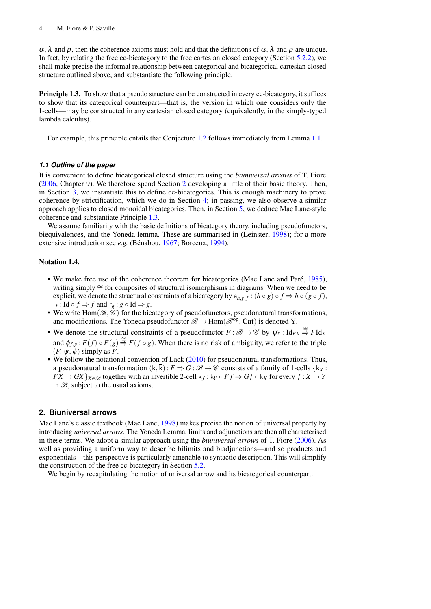$\alpha$ ,  $\lambda$  and  $\rho$ , then the coherence axioms must hold and that the definitions of  $\alpha$ ,  $\lambda$  and  $\rho$  are unique. In fact, by relating the free cc-bicategory to the free cartesian closed category (Section [5.2.2\)](#page-18-0), we shall make precise the informal relationship between categorical and bicategorical cartesian closed structure outlined above, and substantiate the following principle.

<span id="page-3-1"></span>**Principle 1.3.** To show that a pseudo structure can be constructed in every cc-bicategory, it suffices to show that its categorical counterpart—that is, the version in which one considers only the 1-cells—may be constructed in any cartesian closed category (equivalently, in the simply-typed lambda calculus).

For example, this principle entails that Conjecture [1.2](#page-1-0) follows immediately from Lemma [1.1.](#page-1-1)

## *1.1 Outline of the paper*

It is convenient to define bicategorical closed structure using the *biuniversal arrows* of T. Fiore [\(2006,](#page-21-16) Chapter 9). We therefore spend Section [2](#page-3-0) developing a little of their basic theory. Then, in Section [3,](#page-9-0) we instantiate this to define cc-bicategories. This is enough machinery to prove coherence-by-strictification, which we do in Section [4;](#page-12-0) in passing, we also observe a similar approach applies to closed monoidal bicategories. Then, in Section [5,](#page-13-0) we deduce Mac Lane-style coherence and substantiate Principle [1.3.](#page-3-1)

We assume familiarity with the basic definitions of bicategory theory, including pseudofunctors, biequivalences, and the Yoneda lemma. These are summarised in (Leinster, [1998\)](#page-22-12); for a more extensive introduction see *e.g.* (Bénabou, [1967;](#page-21-3) Borceux, [1994\)](#page-21-17).

#### Notation 1.4.

- We make free use of the coherence theorem for bicategories (Mac Lane and Paré, [1985\)](#page-22-7), writing simply ≅ for composites of structural isomorphisms in diagrams. When we need to be explicit, we denote the structural constraints of a bicategory by  $a_{h,g,f} : (h \circ g) \circ f \Rightarrow h \circ (g \circ f)$ ,  $\mathsf{I}_f$ : Id ◦  $f$  ⇒  $f$  and  $\mathsf{r}_g$  :  $g$  ◦ Id ⇒  $g$ .
- We write Hom $(\mathcal{B}, \mathcal{C})$  for the bicategory of pseudofunctors, pseudonatural transformations, and modifications. The Yoneda pseudofunctor  $\mathcal{B} \to \text{Hom}(\mathcal{B}^{op}, \text{Cat})$  is denoted Y.
- We denote the structural constraints of a pseudofunctor  $F : \mathcal{B} \to \mathcal{C}$  by  $\psi_X : \text{Id}_{FX} \stackrel{\cong}{\Rightarrow} F \text{Id}_X$ and  $\phi_{f,g}: F(f) \circ F(g) \stackrel{\cong}{\Rightarrow} F(f \circ g)$ . When there is no risk of ambiguity, we refer to the triple  $(F, \psi, \phi)$  simply as *F*.
- We follow the notational convention of Lack [\(2010\)](#page-22-5) for pseudonatural transformations. Thus, a pseudonatural transformation  $(k, \overline{k}) : F \Rightarrow G : \mathcal{B} \to \mathcal{C}$  consists of a family of 1-cells  $\{k_X :$  $FX \to GX$ } $_{X \in \mathscr{B}}$  together with an invertible 2-cell  $k_f : k_Y \circ Ff \Rightarrow Gf \circ k_X$  for every  $f : X \to Y$ in  $\mathscr{B}$ , subject to the usual axioms.

## <span id="page-3-0"></span>**2. Biuniversal arrows**

Mac Lane's classic textbook (Mac Lane, [1998\)](#page-22-13) makes precise the notion of universal property by introducing *universal arrows*. The Yoneda Lemma, limits and adjunctions are then all characterised in these terms. We adopt a similar approach using the *biuniversal arrows* of T. Fiore [\(2006\)](#page-21-16). As well as providing a uniform way to describe bilimits and biadjunctions—and so products and exponentials—this perspective is particularly amenable to syntactic description. This will simplify the construction of the free cc-bicategory in Section [5.2.](#page-14-0)

We begin by recapitulating the notion of universal arrow and its bicategorical counterpart.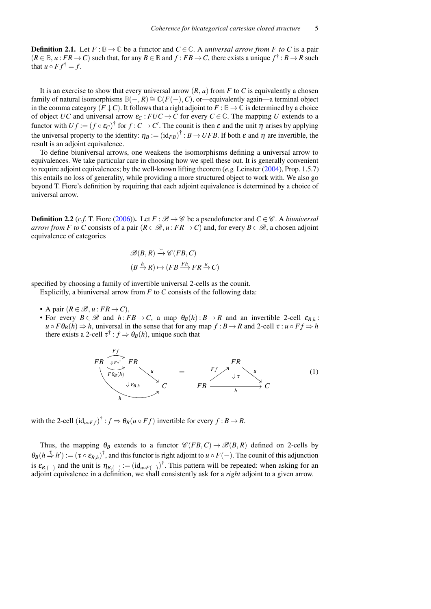**Definition 2.1.** Let  $F : \mathbb{B} \to \mathbb{C}$  be a functor and  $C \in \mathbb{C}$ . A *universal arrow from F to C* is a pair  $(R \in \mathbb{B}, u : FR \to C)$  such that, for any  $B \in \mathbb{B}$  and  $f : FB \to C$ , there exists a unique  $f^{\dagger} : B \to R$  such that  $u \circ F f^{\dagger} = f$ .

It is an exercise to show that every universal arrow  $(R, u)$  from  $F$  to  $C$  is equivalently a chosen family of natural isomorphisms  $\mathbb{B}(-, R) \cong \mathbb{C}(F(-), C)$ , or—equivalently again—a terminal object in the comma category  $(F \downarrow C)$ . It follows that a right adjoint to  $F : \mathbb{B} \to \mathbb{C}$  is determined by a choice of object *UC* and universal arrow  $\varepsilon_C$ :  $FUC \to C$  for every  $C \in \mathbb{C}$ . The mapping *U* extends to a functor with  $Uf := (f \circ \varepsilon_C)^{\dagger}$  for  $f : C \to C'$ . The counit is then  $\varepsilon$  and the unit  $\eta$  arises by applying the universal property to the identity:  $\eta_B := (\mathrm{id}_{FB})^\dagger : B \to UFB$ . If both  $\varepsilon$  and  $\eta$  are invertible, the result is an adjoint equivalence.

To define biuniversal arrows, one weakens the isomorphisms defining a universal arrow to equivalences. We take particular care in choosing how we spell these out. It is generally convenient to require adjoint equivalences; by the well-known lifting theorem (*e.g.* Leinster [\(2004\)](#page-22-0), Prop. 1.5.7) this entails no loss of generality, while providing a more structured object to work with. We also go beyond T. Fiore's definition by requiring that each adjoint equivalence is determined by a choice of universal arrow.

<span id="page-4-0"></span>**Definition 2.2** (*c.f.* T. Fiore [\(2006\)](#page-21-16)). Let  $F : \mathcal{B} \to \mathcal{C}$  be a pseudofunctor and  $C \in \mathcal{C}$ . A *biuniversal arrow from F to C* consists of a pair  $(R \in \mathcal{B}, u : FR \to C)$  and, for every  $B \in \mathcal{B}$ , a chosen adjoint equivalence of categories

$$
\mathscr{B}(B,R) \xrightarrow{\simeq} \mathscr{C}(FB,C)
$$

$$
(B \xrightarrow{h} R) \mapsto (FB \xrightarrow{Fh} FR \xrightarrow{u} C)
$$

specified by choosing a family of invertible universal 2-cells as the counit.

Explicitly, a biuniversal arrow from *F* to *C* consists of the following data:

- A pair  $(R \in \mathcal{B}, u : FR \rightarrow C)$ ,
- For every  $B \in \mathcal{B}$  and  $h : FB \to C$ , a map  $\theta_B(h) : B \to R$  and an invertible 2-cell  $\varepsilon_{B,h}$ :  $u \circ F \theta_B(h) \Rightarrow h$ , universal in the sense that for any map  $f : B \rightarrow R$  and 2-cell  $\tau : u \circ F f \Rightarrow h$ there exists a 2-cell  $\tau^{\dagger}$  :  $f \Rightarrow \theta_B(h)$ , unique such that



with the 2-cell  $(\mathrm{id}_{u \circ F f})^{\dagger}$ :  $f \Rightarrow \theta_B(u \circ Ff)$  invertible for every  $f : B \to R$ .

Thus, the mapping  $\theta_B$  extends to a functor  $\mathcal{C}(FB, C) \to \mathcal{B}(B, R)$  defined on 2-cells by  $\theta_B(h \stackrel{\tau}{\Rightarrow} h') := (\tau \circ \varepsilon_{B,h})^{\dagger}$ , and this functor is right adjoint to *u* ◦ *F*(−). The counit of this adjunction is  $\varepsilon_{B,(-)}$  and the unit is  $\eta_{B,(-)} := (\mathrm{id}_{u \circ F(-)})^{\dagger}$ . This pattern will be repeated: when asking for an adjoint equivalence in a definition, we shall consistently ask for a *right* adjoint to a given arrow.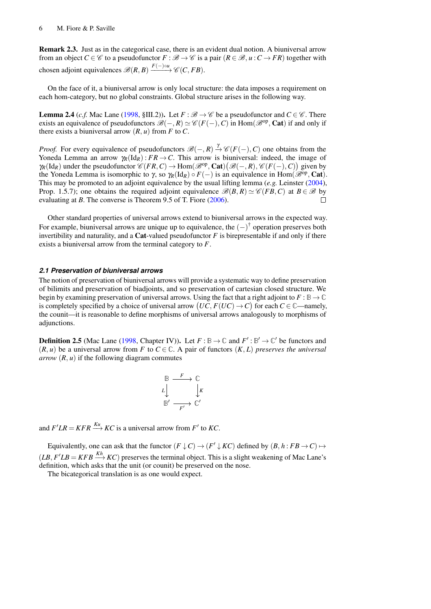Remark 2.3. Just as in the categorical case, there is an evident dual notion. A biuniversal arrow from an object *C* ∈ C to a pseudofunctor  $F : \mathcal{B} \to \mathcal{C}$  is a pair  $(R \in \mathcal{B}, u : C \to FR)$  together with chosen adjoint equivalences  $\mathscr{B}(R, B) \xrightarrow{F(-) \circ u} \mathscr{C}(C, FB)$ .

On the face of it, a biuniversal arrow is only local structure: the data imposes a requirement on each hom-category, but no global constraints. Global structure arises in the following way.

<span id="page-5-1"></span>**Lemma 2.4** (*c.f.* Mac Lane [\(1998,](#page-22-13) §III.2)). Let  $F : \mathcal{B} \to \mathcal{C}$  be a pseudofunctor and  $C \in \mathcal{C}$ . There exists an equivalence of pseudofunctors  $\mathscr{B}(-,R) \simeq \mathscr{C}(F(-),C)$  in Hom $(\mathscr{B}^{op},\mathbf{Cat})$  if and only if there exists a biuniversal arrow  $(R, u)$  from  $F$  to  $C$ .

*Proof.* For every equivalence of pseudofunctors  $\mathcal{B}(-,R) \stackrel{\gamma}{\rightarrow} \mathcal{C}(F(-),C)$  one obtains from the Yoneda Lemma an arrow  $\gamma_R(\text{Id}_R)$ : *FR*  $\rightarrow$  *C*. This arrow is biuniversal: indeed, the image of  $\gamma_R(\text{Id}_R)$  under the pseudofunctor  $\mathscr{C}(FR, C) \to \text{Hom}(\mathscr{B}^{\text{op}}, \text{Cat})(\mathscr{B}(-, R), \mathscr{C}(F(-), C))$  given by the Yoneda Lemma is isomorphic to  $\gamma$ , so  $\gamma_R(\text{Id}_R) \circ F(-)$  is an equivalence in Hom( $\mathscr{B}^{\text{op}}$ , Cat). This may be promoted to an adjoint equivalence by the usual lifting lemma (*e.g.* Leinster [\(2004\)](#page-22-0), Prop. 1.5.7); one obtains the required adjoint equivalence  $\mathcal{B}(B, R) \simeq \mathcal{C}(FB, C)$  at  $B \in \mathcal{B}$  by  $\Box$ evaluating at *B*. The converse is Theorem 9.5 of T. Fiore [\(2006\)](#page-21-16).

Other standard properties of universal arrows extend to biuniversal arrows in the expected way. For example, biuniversal arrows are unique up to equivalence, the  $(-)^{\dagger}$  operation preserves both invertibility and naturality, and a **Cat**-valued pseudofunctor  $F$  is birepresentable if and only if there exists a biuniversal arrow from the terminal category to *F*.

## *2.1 Preservation of biuniversal arrows*

The notion of preservation of biuniversal arrows will provide a systematic way to define preservation of bilimits and preservation of biadjoints, and so preservation of cartesian closed structure. We begin by examining preservation of universal arrows. Using the fact that a right adjoint to  $F : \mathbb{B} \to \mathbb{C}$ is completely specified by a choice of universal arrow  $(UC, F(UC) \rightarrow C)$  for each  $C \in \mathbb{C}$ —namely, the counit—it is reasonable to define morphisms of universal arrows analogously to morphisms of adjunctions.

**Definition 2.5** (Mac Lane [\(1998,](#page-22-13) Chapter IV)). Let  $F : \mathbb{B} \to \mathbb{C}$  and  $F' : \mathbb{B}' \to \mathbb{C}'$  be functors and  $(R, u)$  be a universal arrow from *F* to *C*  $\in \mathbb{C}$ . A pair of functors  $(K, L)$  preserves the universal *arrow*  $(R, u)$  if the following diagram commutes

$$
\begin{array}{ccc}\n\mathbb{B} & \xrightarrow{F} & \mathbb{C} \\
L & & \downarrow K \\
\mathbb{B}' & \xrightarrow{F'} & \mathbb{C}'\n\end{array}
$$

and  $F'LR = KFR \stackrel{Ku}{\longrightarrow} KC$  is a universal arrow from  $F'$  to  $KC$ .

Equivalently, one can ask that the functor  $(F \downarrow C) \rightarrow (F' \downarrow KC)$  defined by  $(B, h : FB \rightarrow C) \mapsto$  $(LB, F/LB = KFB \xrightarrow{Kh} KC$ ) preserves the terminal object. This is a slight weakening of Mac Lane's definition, which asks that the unit (or counit) be preserved on the nose.

<span id="page-5-0"></span>The bicategorical translation is as one would expect.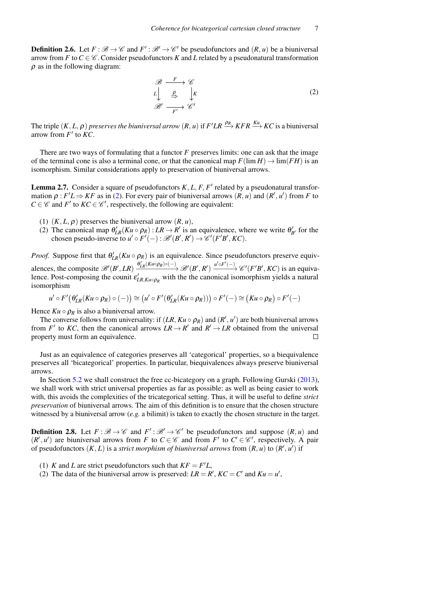**Definition 2.6.** Let  $F : \mathcal{B} \to \mathcal{C}$  and  $F' : \mathcal{B}' \to \mathcal{C}'$  be pseudofunctors and  $(R, u)$  be a biuniversal arrow from *F* to  $C \in \mathcal{C}$ . Consider pseudofunctors *K* and *L* related by a pseudonatural transformation  $\rho$  as in the following diagram:

<span id="page-6-0"></span>
$$
\mathcal{B} \xrightarrow{F} \mathcal{C}
$$
  
\n
$$
L \downarrow \xrightarrow{\rho} \downarrow K
$$
  
\n
$$
\mathcal{B}' \xrightarrow{F'} \mathcal{C}'
$$
  
\n(2)

The triple  $(K, L, \rho)$  *preserves the biuniversal arrow*  $(R, u)$  if  $F'LR \stackrel{\rho_R}{\longrightarrow} KFR \stackrel{Ku}{\longrightarrow} KC$  is a biuniversal arrow from  $F'$  to  $KC$ .

There are two ways of formulating that a functor *F* preserves limits: one can ask that the image of the terminal cone is also a terminal cone, or that the canonical map  $F(\lim H) \to \lim (FH)$  is an isomorphism. Similar considerations apply to preservation of biuniversal arrows.

<span id="page-6-3"></span>**Lemma 2.7.** Consider a square of pseudofunctors  $K, L, F, F'$  related by a pseudonatural transformation  $\rho$ :  $F'L \Rightarrow KF$  as in [\(2\)](#page-6-0). For every pair of biuniversal arrows  $(R, u)$  and  $(R', u')$  from *F* to  $C \in \mathcal{C}$  and *F'* to  $KC \in \mathcal{C}'$ , respectively, the following are equivalent:

- (1)  $(K, L, \rho)$  preserves the biuniversal arrow  $(R, u)$ ,
- (2) The canonical map  $\theta'_{LR}(Ku \circ \rho_R) : LR \to R'$  is an equivalence, where we write  $\theta'_{B'}$  for the chosen pseudo-inverse to  $u' \circ F'(-) : \mathcal{B}'(B', R') \to \mathcal{C}'(F'B', KC)$ .

*Proof.* Suppose first that  $\theta'_{LR}(Ku \circ \rho_R)$  is an equivalence. Since pseudofunctors preserve equivalences, the composite  $\mathscr{B}'(B',LR) \xrightarrow{\theta'_{LR}(Ku \circ \rho_R) \circ (-)} \mathscr{B}'(B',R') \xrightarrow{\mu' \circ F'(-)} \mathscr{C}'(F'B',KC)$  is an equivalence. Post-composing the counit  $\varepsilon'_{LR,Ku \circ \rho_R}$  with the the canonical isomorphism yields a natural isomorphism

$$
u' \circ F'(\theta'_{LR}(Ku \circ \rho_R) \circ (-)) \cong (u' \circ F'(\theta'_{LR}(Ku \circ \rho_R))) \circ F'(-) \cong (Ku \circ \rho_R) \circ F'(-)
$$

Hence  $Ku \circ \rho_R$  is also a biuniversal arrow.

The converse follows from universality: if  $(LR, Ku \circ \rho_R)$  and  $(R', u')$  are both biuniversal arrows from *F'* to *KC*, then the canonical arrows  $LR \rightarrow R'$  and  $R' \rightarrow LR$  obtained from the universal property must form an equivalence.  $\Box$ 

Just as an equivalence of categories preserves all 'categorical' properties, so a biequivalence preserves all 'bicategorical' properties. In particular, biequivalences always preserve biuniversal arrows.

In Section [5.2](#page-14-0) we shall construct the free cc-bicategory on a graph. Following Gurski [\(2013\)](#page-21-18), we shall work with strict universal properties as far as possible: as well as being easier to work with, this avoids the complexities of the tricategorical setting. Thus, it will be useful to define *strict preservation* of biuniversal arrows. The aim of this definition is to ensure that the chosen structure witnessed by a biuniversal arrow (*e.g.* a bilimit) is taken to exactly the chosen structure in the target.

<span id="page-6-1"></span>**Definition 2.8.** Let  $F : \mathcal{B} \to \mathcal{C}$  and  $F' : \mathcal{B}' \to \mathcal{C}'$  be pseudofunctors and suppose  $(R, u)$  and  $(R', u')$  are biuniversal arrows from *F* to  $C \in \mathcal{C}$  and from *F'* to  $C' \in \mathcal{C}'$ , respectively. A pair of pseudofunctors  $(K, L)$  is a *strict morphism of biuniversal arrows* from  $(R, u)$  to  $(R', u')$  if

- <span id="page-6-2"></span>(1) *K* and *L* are strict pseudofunctors such that  $KF = F'L$ ,
- (2) The data of the biuniversal arrow is preserved:  $LR = R'$ ,  $KC = C'$  and  $Ku = u'$ ,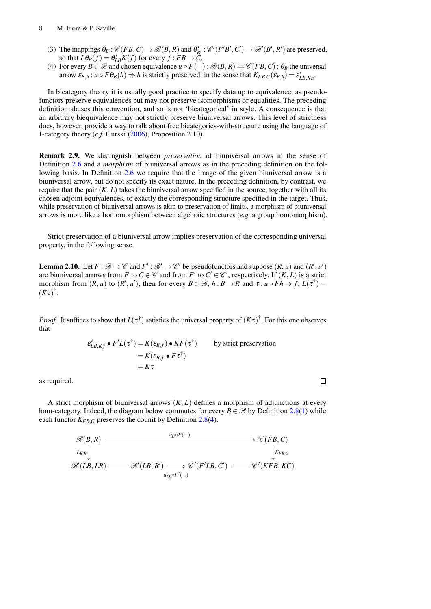- (3) The mappings  $\theta_B : \mathcal{C}(FB, C) \to \mathcal{B}(B, R)$  and  $\theta'_{B'} : \mathcal{C}'(F'B', C') \to \mathcal{B}'(B', R')$  are preserved, so that  $L\theta_B(f) = \theta'_{LB}K(f)$  for every  $f : FB \to \tilde{C}$ ,
- <span id="page-7-0"></span>(4) For every  $B \in \mathcal{B}$  and chosen equivalence  $u \circ F(-)$ :  $\mathcal{B}(B, R) \leftrightarrows \mathcal{C}(FB, C)$ :  $\theta_B$  the universal arrow  $\varepsilon_{B,h}: u \circ F \theta_B(h) \Rightarrow h$  is strictly preserved, in the sense that  $K_{FB,C}(\varepsilon_{B,h}) = \varepsilon'_{LB,Kh}$ .

In bicategory theory it is usually good practice to specify data up to equivalence, as pseudofunctors preserve equivalences but may not preserve isomorphisms or equalities. The preceding definition abuses this convention, and so is not 'bicategorical' in style. A consequence is that an arbitrary biequivalence may not strictly preserve biuniversal arrows. This level of strictness does, however, provide a way to talk about free bicategories-with-structure using the language of 1-category theory (*c.f.* Gurski [\(2006\)](#page-21-19), Proposition 2.10).

Remark 2.9. We distinguish between *preservation* of biuniversal arrows in the sense of Definition [2.6](#page-5-0) and a *morphism* of biuniversal arrows as in the preceding definition on the following basis. In Definition [2.6](#page-5-0) we require that the image of the given biuniversal arrow is a biuniversal arrow, but do not specify its exact nature. In the preceding definition, by contrast, we require that the pair  $(K, L)$  takes the biuniversal arrow specified in the source, together with all its chosen adjoint equivalences, to exactly the corresponding structure specified in the target. Thus, while preservation of biuniversal arrows is akin to preservation of limits, a morphism of biuniversal arrows is more like a homomorphism between algebraic structures (*e.g.* a group homomorphism).

Strict preservation of a biuniversal arrow implies preservation of the corresponding universal property, in the following sense.

<span id="page-7-1"></span>**Lemma 2.10.** Let  $F : \mathcal{B} \to \mathcal{C}$  and  $F' : \mathcal{B}' \to \mathcal{C}'$  be pseudofunctors and suppose  $(R, u)$  and  $(R', u')$ are biuniversal arrows from *F* to  $C \in \mathcal{C}$  and from *F'* to  $C' \in \mathcal{C}'$ , respectively. If  $(K, L)$  is a strict morphism from  $(R, u)$  to  $(R', u')$ , then for every  $B \in \mathcal{B}$ ,  $h : B \to R$  and  $\tau : u \circ F h \Rightarrow f$ ,  $L(\tau^{\dagger}) =$  $(K\tau)^{\dagger}$ .

*Proof.* It suffices to show that  $L(\tau^{\dagger})$  satisfies the universal property of  $(K\tau)^{\dagger}$ . For this one observes that

$$
\varepsilon'_{LB,Kf} \bullet F'L(\tau^{\dagger}) = K(\varepsilon_{B,f}) \bullet KF(\tau^{\dagger}) \qquad \text{by strict preservation}
$$

$$
= K(\varepsilon_{B,f} \bullet F \tau^{\dagger})
$$

$$
= K\tau
$$

as required.

A strict morphism of biuniversal arrows (*K*, *L*) defines a morphism of adjunctions at every hom-category. Indeed, the diagram below commutes for every  $B \in \mathcal{B}$  by Definition [2.8](#page-6-1)[\(1\)](#page-6-2) while each functor  $K_{FB,C}$  preserves the counit by Definition [2.8\(](#page-6-1)[4\)](#page-7-0).

$$
\mathscr{B}(B,R) \longrightarrow \mathscr{C}(FB,C)
$$
  
\n
$$
L_{B,R} \downarrow \qquad \qquad \downarrow K_{FB,C}
$$
  
\n
$$
\mathscr{B}'(LB,LR) \longrightarrow \mathscr{B}'(LB,R') \longrightarrow \mathscr{C}'(F'LB,C') \longrightarrow \mathscr{C}'(KFB,KC)
$$

 $\Box$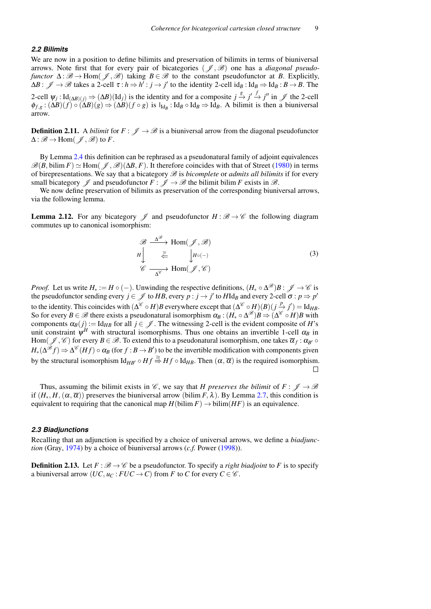#### *2.2 Bilimits*

We are now in a position to define bilimits and preservation of bilimits in terms of biuniversal arrows. Note first that for every pair of bicategories ( $\mathcal{J}, \mathcal{B}$ ) one has a *diagonal pseudofunctor*  $\Delta : \mathcal{B} \to \text{Hom}(\mathcal{J}, \mathcal{B})$  taking  $B \in \mathcal{B}$  to the constant pseudofunctor at *B*. Explicitly,  $\Delta B: \mathscr{J} \to \mathscr{B}$  takes a 2-cell  $\tau: h \to h': j \to j'$  to the identity 2-cell id<sub>B</sub> : Id<sub>B</sub>  $\Rightarrow$  Id<sub>B</sub> :  $B \to B$ . The 2-cell  $\psi_j$ : Id<sub>(∆*B*)(*j*)  $\Rightarrow$   $(\Delta B)(Id_j)$  is the identity and for a composite *j*  $\stackrel{g}{\to}$  *j'*  $\stackrel{f}{\to}$  *j''* in  $\mathscr{J}$  the 2-cell</sub>  $\phi_{f,g}: (\Delta B)(f) \circ (\Delta B)(g) \Rightarrow (\Delta B)(f \circ g)$  is  $I_{Id_B}: Id_B \circ Id_B \Rightarrow Id_B$ . A bilimit is then a biuniversal arrow.

**Definition 2.11.** A *bilimit* for  $F: \mathcal{J} \to \mathcal{B}$  is a biuniversal arrow from the diagonal pseudofunctor  $\Delta : \mathscr{B} \to \text{Hom}(\mathscr{J}, \mathscr{B})$  to F.

By Lemma [2.4](#page-5-1) this definition can be rephrased as a pseudonatural family of adjoint equivalences  $\mathscr{B}(B, \text{bilim } F) \simeq \text{Hom}(\mathscr{J}, \mathscr{B})(\Delta B, F)$ . It therefore coincides with that of Street [\(1980\)](#page-22-2) in terms of birepresentations. We say that a bicategory  $\mathscr B$  is *bicomplete* or *admits all bilimits* if for every small bicategory  $\mathscr J$  and pseudofunctor  $F : \mathscr J \to \mathscr B$  the bilimit bilim *F* exists in  $\mathscr B$ .

We now define preservation of bilimits as preservation of the corresponding biuniversal arrows, via the following lemma.

**Lemma 2.12.** For any bicategory  $\mathscr{J}$  and pseudofunctor  $H : \mathscr{B} \to \mathscr{C}$  the following diagram commutes up to canonical isomorphism:

$$
\mathcal{B} \xrightarrow{\Delta^{\mathcal{B}}} \text{Hom}(\mathcal{J}, \mathcal{B})
$$
\n
$$
H \downarrow \qquad \stackrel{\cong}{\underset{\Delta^{\mathcal{C}}}{\rightleftarrows}} \qquad H_{o(-)}
$$
\n
$$
\mathcal{C} \xrightarrow{\Delta^{\mathcal{C}}} \text{Hom}(\mathcal{J}, \mathcal{C})
$$
\n(3)

*Proof.* Let us write  $H_* := H \circ (-)$ . Unwinding the respective definitions,  $(H_* \circ \Delta^{\mathscr{B}})B : \mathscr{J} \to \mathscr{C}$  is the pseudofunctor sending every  $j \in \mathcal{J}$  to *HB*, every  $p : j \to j'$  to *H*Id<sub>*B*</sub> and every 2-cell  $\sigma : p \Rightarrow p'$ to the identity. This coincides with  $(\Delta^{\mathscr{C}} \circ H)B$  everywhere except that  $(\Delta^{\mathscr{C}} \circ H)(B)(j \stackrel{p}{\to} j') = \text{Id}_{HB}$ . So for every  $B \in \mathscr{B}$  there exists a pseudonatural isomorphism  $\alpha_B$  :  $(H_* \circ \Delta^{\mathscr{B}})B \Rightarrow (\Delta^{\mathscr{C}} \circ H)B$  with components  $\alpha_B(j) := \text{Id}_{HB}$  for all  $j \in \mathcal{J}$ . The witnessing 2-cell is the evident composite of *H*'s unit constraint  $\psi^H$  with structural isomorphisms. Thus one obtains an invertible 1-cell  $\alpha_B$  in  $\text{Hom}(\mathscr{J},\mathscr{C})$  for every  $B\in\mathscr{B}.$  To extend this to a pseudonatural isomorphism, one takes  $\overline{\alpha}_f:\alpha_{B'}\circ\overline{\alpha}_f$  $H_*(\Delta^{\mathscr{B}} f) \Rightarrow \Delta^{\mathscr{C}} (Hf) \circ \alpha_B$  (for  $f : B \to B'$ ) to be the invertible modification with components given by the structural isomorphism  $\mathrm{Id}_{HB'} \circ Hf \stackrel{\cong}{\Rightarrow} Hf \circ \mathrm{Id}_{HB}$ . Then  $(\alpha, \overline{\alpha})$  is the required isomorphism.  $\Box$ 

Thus, assuming the bilimit exists in  $\mathscr{C}$ , we say that *H* preserves the bilimit of  $F: \mathscr{J} \to \mathscr{B}$ if  $(H_*, H, (\alpha, \overline{\alpha}))$  preserves the biuniversal arrow (bilim *F*,  $\lambda$ ). By Lemma [2.7,](#page-6-3) this condition is equivalent to requiring that the canonical map  $H(\text{bilim } F) \to \text{bilim}(HF)$  is an equivalence.

#### *2.3 Biadjunctions*

Recalling that an adjunction is specified by a choice of universal arrows, we define a *biadjunction* (Gray, [1974\)](#page-21-20) by a choice of biuniversal arrows (*c.f.* Power [\(1998\)](#page-22-14)).

<span id="page-8-0"></span>**Definition 2.13.** Let  $F : \mathcal{B} \to \mathcal{C}$  be a pseudofunctor. To specify a *right biadjoint* to F is to specify a biuniversal arrow  $(UC, u_C : FUC \to C)$  from *F* to *C* for every  $C \in \mathscr{C}$ .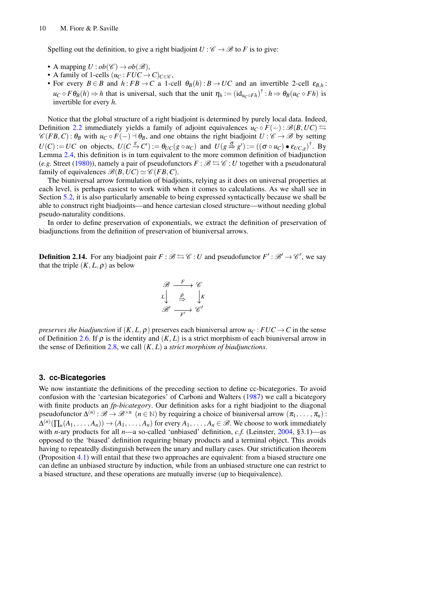Spelling out the definition, to give a right biadjoint  $U : \mathcal{C} \to \mathcal{B}$  to *F* is to give:

- A mapping  $U : ob(\mathscr{C}) \to ob(\mathscr{B})$ ,
- A family of 1-cells  $(u_C: FUC \to C)_{C \in \mathscr{C}}$ ,
- For every  $B \in B$  and  $h : FB \to C$  a 1-cell  $\theta_B(h) : B \to UC$  and an invertible 2-cell  $\varepsilon_{B,h}$ :  $u_C \circ F \theta_B(h) \Rightarrow h$  that is universal, such that the unit  $\eta_h := (\mathrm{id}_{u_C \circ Fh})^{\dagger} : h \Rightarrow \theta_B(u_C \circ Fh)$  is invertible for every *h*.

Notice that the global structure of a right biadjoint is determined by purely local data. Indeed, Definition [2.2](#page-4-0) immediately yields a family of adjoint equivalences  $u_C \circ F(-)$ :  $\mathcal{B}(B, UC) \leftrightarrows$  $\mathscr{C}(FB, C)$ :  $\theta_B$  with  $u_C \circ F(-) \dashv \theta_B$ , and one obtains the right biadjoint  $U : \mathscr{C} \to \mathscr{B}$  by setting  $U(C) := UC$  on objects,  $U(C \xrightarrow{g} C') := \theta_{UC}(g \circ u_C)$  and  $U(g \xrightarrow{g} g') := ((\sigma \circ u_C) \bullet \varepsilon_{UC,g})^{\dagger}$ . By Lemma [2.4,](#page-5-1) this definition is in turn equivalent to the more common definition of biadjunction (*e.g.* Street [\(1980\)](#page-22-2)), namely a pair of pseudofunctors  $F : \mathcal{B} \leftrightarrows \mathcal{C} : U$  together with a pseudonatural family of equivalences  $\mathcal{B}(B, UC) \simeq \mathcal{C}(FB, C)$ .

The biuniversal arrow formulation of biadjoints, relying as it does on universal properties at each level, is perhaps easiest to work with when it comes to calculations. As we shall see in Section [5.2,](#page-14-0) it is also particularly amenable to being expressed syntactically because we shall be able to construct right biadjoints—and hence cartesian closed structure—without needing global pseudo-naturality conditions.

In order to define preservation of exponentials, we extract the definition of preservation of biadjunctions from the definition of preservation of biuniversal arrows.

**Definition 2.14.** For any biadjoint pair  $F : \mathcal{B} \leftrightarrows \mathcal{C} : U$  and pseudofunctor  $F' : \mathcal{B}' \to \mathcal{C}'$ , we say that the triple  $(K, L, \rho)$  as below

$$
\begin{array}{ccc}\mathcal{B} & \xrightarrow{F} & \mathcal{C} \\
L & \xrightarrow{\rho} & \downarrow K \\
\mathcal{B}' & \xrightarrow{F'} & \mathcal{C}'\n\end{array}
$$

*preserves the biadjunction* if  $(K, L, \rho)$  preserves each biuniversal arrow  $u_C$ :  $FUC \rightarrow C$  in the sense of Definition [2.6.](#page-5-0) If  $\rho$  is the identity and  $(K, L)$  is a strict morphism of each biuniversal arrow in the sense of Definition [2.8,](#page-6-1) we call (*K*, *L*) a *strict morphism of biadjunctions*.

## <span id="page-9-0"></span>**3. cc-Bicategories**

We now instantiate the definitions of the preceding section to define cc-bicategories. To avoid confusion with the 'cartesian bicategories' of Carboni and Walters [\(1987\)](#page-21-13) we call a bicategory with finite products an *fp-bicategory*. Our definition asks for a right biadjoint to the diagonal pseudofunctor  $\Delta^{(n)}$ :  $\mathscr{B} \to \mathscr{B}^{\times n}$   $(n \in \mathbb{N})$  by requiring a choice of biuniversal arrow  $(\pi_1, \ldots, \pi_n)$ :  $\Delta^{(n)}(\prod_n (A_1,\ldots,A_n)) \to (A_1,\ldots,A_n)$  for every  $A_1,\ldots,A_n\in\mathscr{B}.$  We choose to work immediately with *n*-ary products for all *n*—a so-called 'unbiased' definition, *c.f.* (Leinster, [2004,](#page-22-0) §3.1)—as opposed to the 'biased' definition requiring binary products and a terminal object. This avoids having to repeatedly distinguish between the unary and nullary cases. Our strictification theorem (Proposition [4.1\)](#page-12-1) will entail that these two approaches are equivalent: from a biased structure one can define an unbiased structure by induction, while from an unbiased structure one can restrict to a biased structure, and these operations are mutually inverse (up to biequivalence).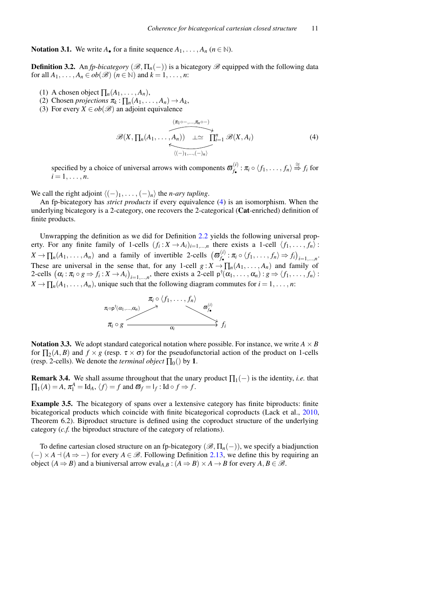**Notation 3.1.** We write  $A_{\bullet}$  for a finite sequence  $A_1, \ldots, A_n$  ( $n \in \mathbb{N}$ ).

**Definition 3.2.** An *fp-bicategory* ( $\mathscr{B}, \Pi_n(-)$ ) is a bicategory  $\mathscr{B}$  equipped with the following data for all  $A_1, \ldots, A_n \in ob(\mathcal{B})$   $(n \in \mathbb{N})$  and  $k = 1, \ldots, n$ :

- (1) A chosen object  $\prod_n (A_1, \ldots, A_n)$ ,
- (2) Chosen *projections*  $\pi_k : \prod_n (A_1, \ldots, A_n) \to A_k$ ,
- (3) For every  $X \in ob(\mathcal{B})$  an adjoint equivalence

<span id="page-10-0"></span>
$$
\mathscr{B}(X,\prod_n(A_1,\ldots,A_n)) \xrightarrow{\mu \sim \text{min}(A_1,\ldots,A_n) \longrightarrow} \prod_{i=1}^n \mathscr{B}(X,A_i)
$$
\n
$$
(4)
$$

specified by a choice of universal arrows with components  $\sigma_f^{(i)}$  $f_{\bullet}^{(i)}$ :  $\pi_i \circ \langle f_1, \ldots, f_n \rangle \stackrel{\cong}{\Rightarrow} f_i$  for  $i = 1, \ldots, n$ .

We call the right adjoint  $\langle (-)_1, \ldots, (-)_n \rangle$  the *n-ary tupling*.

An fp-bicategory has *strict products* if every equivalence [\(4\)](#page-10-0) is an isomorphism. When the underlying bicategory is a 2-category, one recovers the 2-categorical (Cat-enriched) definition of finite products.

Unwrapping the definition as we did for Definition [2.2](#page-4-0) yields the following universal property. For any finite family of 1-cells  $(f_i: X \to A_i)_{i=1,\dots,n}$  there exists a 1-cell  $\langle f_1, \dots, f_n \rangle$ :  $X \to \prod_n (A_1, \ldots, A_n)$  and a family of invertible 2-cells  $(\boldsymbol{\varpi}_{f_\bullet}^{(i)})$  $f_{\bullet}^{(l)}: \pi_i \circ \langle f_1, \ldots, f_n \rangle \Rightarrow f_i \big)_{i=1,\ldots,n}.$ These are universal in the sense that, for any 1-cell  $g: X \to \prod_n (A_1, \ldots, A_n)$  and family of 2-cells  $(\alpha_i : \pi_i \circ g \Rightarrow f_i : X \to A_i)_{i=1,...,n}$ , there exists a 2-cell  $p^{\dagger}(\alpha_1, ..., \alpha_n) : g \Rightarrow \langle f_1, ..., f_n \rangle$ :  $X \to \prod_n (A_1, \ldots, A_n)$ , unique such that the following diagram commutes for  $i = 1, \ldots, n$ :



**Notation 3.3.** We adopt standard categorical notation where possible. For instance, we write  $A \times B$ for  $\prod_2(A, B)$  and  $f \times g$  (resp.  $\tau \times \sigma$ ) for the pseudofunctorial action of the product on 1-cells (resp. 2-cells). We denote the *terminal object*  $\Pi_0()$  by 1.

**Remark 3.4.** We shall assume throughout that the unary product  $\Pi_1(-)$  is the identity, *i.e.* that  $\prod_1(A) = A$ ,  $\pi_1^A = \text{Id}_A$ ,  $\langle f \rangle = f$  and  $\overline{\omega}_f = I_f$ : Id  $\circ f \Rightarrow f$ .

Example 3.5. The bicategory of spans over a lextensive category has finite biproducts: finite bicategorical products which coincide with finite bicategorical coproducts (Lack et al., [2010,](#page-22-15) Theorem 6.2). Biproduct structure is defined using the coproduct structure of the underlying category (*c.f.* the biproduct structure of the category of relations).

To define cartesian closed structure on an fp-bicategory  $(\mathscr{B}, \Pi_n(-))$ , we specify a biadjunction  $(-) \times A \times (A \Rightarrow -)$  for every  $A \in \mathcal{B}$ . Following Definition [2.13,](#page-8-0) we define this by requiring an object  $(A \Rightarrow B)$  and a biuniversal arrow eval<sub>*A,B*</sub> :  $(A \Rightarrow B) \times A \rightarrow B$  for every *A*, *B*  $\in \mathcal{B}$ .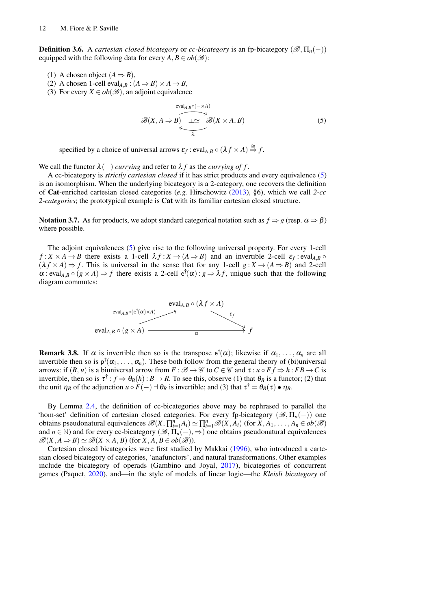**Definition 3.6.** A *cartesian closed bicategory* or *cc-bicategory* is an fp-bicategory ( $\mathcal{B}, \Pi_n(-)$ ) equipped with the following data for every  $A, B \in ob(\mathcal{B})$ :

- (1) A chosen object  $(A \Rightarrow B)$ ,
- (2) A chosen 1-cell eval<sub>*A,B*</sub> :  $(A \Rightarrow B) \times A \rightarrow B$ ,
- (3) For every  $X \in ob(\mathcal{B})$ , an adjoint equivalence

<span id="page-11-0"></span>
$$
\mathscr{B}(X, A \Rightarrow B) \xrightarrow[\lambda \qquad \lambda]{\text{eval}_{A,B} \circ (- \times A)} \mathscr{B}(X \times A, B) \tag{5}
$$

specified by a choice of universal arrows  $\varepsilon_f$  : eval<sub>*A*,*B*</sub>  $\circ$   $(\lambda f \times A) \stackrel{\cong}{\Rightarrow} f$ .

We call the functor  $\lambda$ (-) *currying* and refer to  $\lambda f$  as the *currying of f*.

A cc-bicategory is *strictly cartesian closed* if it has strict products and every equivalence [\(5\)](#page-11-0) is an isomorphism. When the underlying bicategory is a 2-category, one recovers the definition of Cat-enriched cartesian closed categories (*e.g.* Hirschowitz [\(2013\)](#page-22-16), §6), which we call *2-cc 2-categories*; the prototypical example is Cat with its familiar cartesian closed structure.

**Notation 3.7.** As for products, we adopt standard categorical notation such as  $f \Rightarrow g$  (resp.  $\alpha \Rightarrow \beta$ ) where possible.

The adjoint equivalences [\(5\)](#page-11-0) give rise to the following universal property. For every 1-cell  $f: X \times A \to B$  there exists a 1-cell  $\lambda f: X \to (A \Rightarrow B)$  and an invertible 2-cell  $\varepsilon_f$ : eval<sub>*A,B*</sub>  $\circ$  $(\lambda f \times A) \Rightarrow f$ . This is universal in the sense that for any 1-cell  $g: X \rightarrow (A \Rightarrow B)$  and 2-cell  $\alpha$  : eval<sub>*A*,*B*  $\circ$  (*g* × *A*)  $\Rightarrow$  *f* there exists a 2-cell  $e^{\dagger}(\alpha)$  : *g*  $\Rightarrow$  *Af*, unique such that the following</sub> diagram commutes:



<span id="page-11-1"></span>**Remark 3.8.** If  $\alpha$  is invertible then so is the transpose  $e^{\dagger}(\alpha)$ ; likewise if  $\alpha_1, \ldots, \alpha_n$  are all invertible then so is  $p^{\dagger}(\alpha_1,\ldots,\alpha_n)$ . These both follow from the general theory of (bi)universal arrows: if  $(R, u)$  is a biuniversal arrow from  $F : \mathcal{B} \to \mathcal{C}$  to  $C \in \mathcal{C}$  and  $\tau : u \circ F f \Rightarrow h : FB \to C$  is invertible, then so is  $\tau^{\dagger}$  :  $f \Rightarrow \theta_B(h)$  :  $B \to R$ . To see this, observe (1) that  $\theta_B$  is a functor; (2) that the unit  $\eta_B$  of the adjunction  $u \circ F(-) \circ \theta_B$  is invertible; and (3) that  $\tau^{\dagger} = \theta_B(\tau) \bullet \eta_B$ .

By Lemma [2.4,](#page-5-1) the definition of cc-bicategories above may be rephrased to parallel the 'hom-set' definition of cartesian closed categories. For every fp-bicategory  $(\mathscr{B}, \Pi_n(-))$  one obtains pseudonatural equivalences  $\mathscr{B}(X, \prod_{i=1}^{n} A_i) \simeq \prod_{i=1}^{n} \mathscr{B}(X, A_i)$  (for  $X, A_1, \ldots, A_n \in ob(\mathscr{B})$ and  $n \in \mathbb{N}$ ) and for every cc-bicategory  $(\mathcal{B}, \Pi_n(-), \Rightarrow)$  one obtains pseudonatural equivalences  $\mathscr{B}(X, A \Rightarrow B) \simeq \mathscr{B}(X \times A, B)$  (for  $X, A, B \in ob(\mathscr{B})$ ).

Cartesian closed bicategories were first studied by Makkai [\(1996\)](#page-22-17), who introduced a cartesian closed bicategory of categories, 'anafunctors', and natural transformations. Other examples include the bicategory of operads (Gambino and Joyal, [2017\)](#page-21-12), bicategories of concurrent games (Paquet, [2020\)](#page-22-10), and—in the style of models of linear logic—the *Kleisli bicategory* of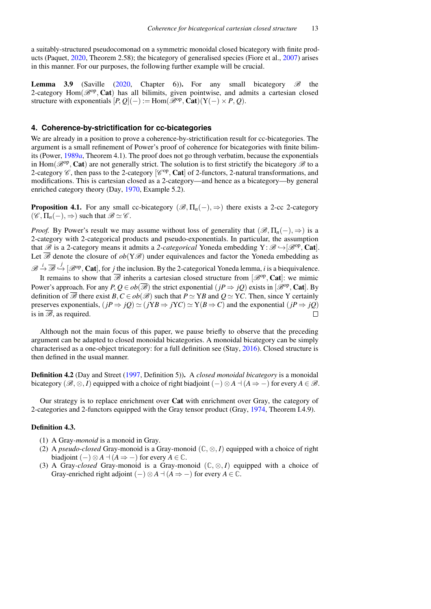a suitably-structured pseudocomonad on a symmetric monoidal closed bicategory with finite products (Paquet, [2020,](#page-22-10) Theorem 2.58); the bicategory of generalised species (Fiore et al., [2007\)](#page-21-2) arises in this manner. For our purposes, the following further example will be crucial.

**Lemma 3.9** (Saville [\(2020,](#page-22-18) Chapter 6)). For any small bicategory  $\mathscr{B}$  the 2-category  $Hom(\mathcal{B}^{op}, \mathbf{Cat})$  has all bilimits, given pointwise, and admits a cartesian closed structure with exponentials  $[P, Q](-) := \text{Hom}(\overline{\mathscr{B}}^{\text{op}}, \text{Cat})(Y(-) \times P, Q)$ .

## <span id="page-12-0"></span>**4. Coherence-by-strictification for cc-bicategories**

We are already in a position to prove a coherence-by-strictification result for cc-bicategories. The argument is a small refinement of Power's proof of coherence for bicategories with finite bilimits (Power, [1989](#page-22-3)*a*, Theorem 4.1). The proof does not go through verbatim, because the exponentials in Hom $(\mathscr{B}^{op}, \mathbf{Cat})$  are not generally strict. The solution is to first strictify the bicategory  $\mathscr{B}$  to a 2-category  $\mathscr{C}$ , then pass to the 2-category  $[\mathscr{C}^{op}, \mathbf{Cat}]$  of 2-functors, 2-natural transformations, and modifications. This is cartesian closed as a 2-category—and hence as a bicategory—by general enriched category theory (Day, [1970,](#page-21-21) Example 5.2).

<span id="page-12-1"></span>**Proposition 4.1.** For any small cc-bicategory ( $\mathcal{B}, \Pi_n(-)$ ,  $\Rightarrow$ ) there exists a 2-cc 2-category  $(\mathscr{C}, \Pi_n(-), \Rightarrow)$  such that  $\mathscr{B} \simeq \mathscr{C}$ .

*Proof.* By Power's result we may assume without loss of generality that  $(\mathscr{B}, \Pi_n(-), \Rightarrow)$  is a 2-category with 2-categorical products and pseudo-exponentials. In particular, the assumption that  $\mathscr{B}$  is a 2-category means it admits a 2-categorical Yoneda embedding  $Y: \mathscr{B} \hookrightarrow [\mathscr{B}^{op}, \mathbf{Cat}]$ . Let  $\overline{\mathscr{B}}$  denote the closure of  $ob(Y\mathscr{B})$  under equivalences and factor the Yoneda embedding as

 $\mathscr{B} \stackrel{i}{\to} \overline{\mathscr{B}} \stackrel{j}{\to} [\mathscr{B}^{op}, \mathbf{Cat}]$ , for *j* the inclusion. By the 2-categorical Yoneda lemma, *i* is a biequivalence. It remains to show that  $\overline{\mathscr{B}}$  inherits a cartesian closed structure from  $[\mathscr{B}^{op}, \mathbf{Cat}]$ : we mimic Power's approach. For any  $P, Q \in ob(\overline{\mathscr{B}})$  the strict exponential  $(jP \Rightarrow jQ)$  exists in  $[\mathscr{B}^{op}, \mathbf{Cat}]$ . By definition of  $\overline{\mathscr{B}}$  there exist  $B, C \in ob(\mathscr{B})$  such that  $P \simeq YB$  and  $O \simeq YC$ . Then, since Y certainly preserves exponentials,  $(jP \Rightarrow jQ) \simeq (jYB \Rightarrow jYC) \simeq Y(B \Rightarrow C)$  and the exponential (*iP*  $\Rightarrow iO$ ) is in  $\overline{\mathscr{B}}$ , as required.  $\Box$ 

Although not the main focus of this paper, we pause briefly to observe that the preceding argument can be adapted to closed monoidal bicategories. A monoidal bicategory can be simply characterised as a one-object tricategory: for a full definition see (Stay, [2016\)](#page-22-19). Closed structure is then defined in the usual manner.

Definition 4.2 (Day and Street [\(1997,](#page-21-7) Definition 5)). A *closed monoidal bicategory* is a monoidal bicategory ( $\mathscr{B}, \otimes, I$ ) equipped with a choice of right biadjoint  $(-) \otimes A \dashv (A \Rightarrow -)$  for every  $A \in \mathscr{B}$ .

Our strategy is to replace enrichment over Cat with enrichment over Gray, the category of 2-categories and 2-functors equipped with the Gray tensor product (Gray, [1974,](#page-21-20) Theorem I.4.9).

## Definition 4.3.

- (1) A Gray*-monoid* is a monoid in Gray.
- (2) A *pseudo-closed* Gray-monoid is a Gray-monoid (**C**, ⊗, *I*) equipped with a choice of right biadjoint  $(-) \otimes A \dashv (A \Rightarrow -)$  for every  $A \in \mathbb{C}$ .
- (3) A Gray*-closed* Gray-monoid is a Gray-monoid (**C**, ⊗, *I*) equipped with a choice of Gray-enriched right adjoint  $(-) \otimes A \dashv (A \Rightarrow -)$  for every  $A \in \mathbb{C}$ .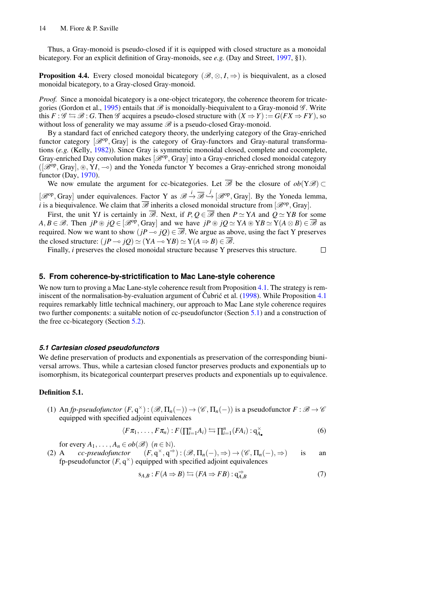Thus, a Gray-monoid is pseudo-closed if it is equipped with closed structure as a monoidal bicategory. For an explicit definition of Gray-monoids, see *e.g.* (Day and Street, [1997,](#page-21-7) §1).

**Proposition 4.4.** Every closed monoidal bicategory ( $\mathcal{B}, \otimes, I, \Rightarrow$ ) is biequivalent, as a closed monoidal bicategory, to a Gray-closed Gray-monoid.

*Proof.* Since a monoidal bicategory is a one-object tricategory, the coherence theorem for tricate-gories (Gordon et al., [1995\)](#page-21-9) entails that  $\mathscr B$  is monoidally-biequivalent to a Gray-monoid  $\mathscr G$ . Write this  $F : \mathscr{G} \leftrightarrows \mathscr{B} : G$ . Then  $\mathscr{G}$  acquires a pseudo-closed structure with  $(X \Rightarrow Y) := G(FX \Rightarrow FY)$ , so without loss of generality we may assume  $\mathscr B$  is a pseudo-closed Gray-monoid.

By a standard fact of enriched category theory, the underlying category of the Gray-enriched functor category [ $\mathcal{B}^{op}$ , Gray] is the category of Gray-functors and Gray-natural transformations (*e.g.* (Kelly, [1982\)](#page-22-20)). Since Gray is symmetric monoidal closed, complete and cocomplete, Gray-enriched Day convolution makes [ $\mathcal{B}^{op}$ , Gray] into a Gray-enriched closed monoidal category  $([\mathscr{B}^{op}, Gray], \circledast, YI, \multimap)$  and the Yoneda functor Y becomes a Gray-enriched strong monoidal functor (Day, [1970\)](#page-21-21).

We now emulate the argument for cc-bicategories. Let  $\overline{\mathscr{B}}$  be the closure of  $ob(Y\mathscr{B}) \subset$  $[\mathcal{B}^{op}, Gray]$  under equivalences. Factor Y as  $\mathcal{B} \stackrel{i}{\rightarrow} \overline{\mathcal{B}} \stackrel{j}{\rightarrow} [\mathcal{B}^{op}, Gray]$ . By the Yoneda lemma, *i* is a biequivalence. We claim that  $\overline{\mathscr{B}}$  inherits a closed monoidal structure from  $[\mathscr{B}^{op},Gray]$ .

First, the unit Y*I* is certainly in  $\overline{\mathscr{B}}$ . Next, if *P*,  $Q \in \overline{\mathscr{B}}$  then  $P \simeq YA$  and  $Q \simeq YB$  for some  $A, B \in \mathcal{B}$ . Then  $jP \circledast jQ \in [\mathcal{B}^{op}, Gray]$  and we have  $jP \circledast jQ \simeq YA \circledast YB \simeq Y(A \otimes B) \in \overline{\mathcal{B}}$  as required. Now we want to show  $(jP \sim jQ) \in \overline{\mathscr{B}}$ . We argue as above, using the fact Y preserves the closed structure:  $(jP \rightarrow jQ) \simeq (YA \rightarrow YB) \simeq Y(A \Rightarrow B) \in \overline{\mathscr{B}}$ .

Finally, *i* preserves the closed monoidal structure because Y preserves this structure.  $\Box$ 

## <span id="page-13-0"></span>**5. From coherence-by-strictification to Mac Lane-style coherence**

We now turn to proving a Mac Lane-style coherence result from Proposition [4.1.](#page-12-1) The strategy is reminiscent of the normalisation-by-evaluation argument of Čubrić et al.  $(1998)$  $(1998)$ . While Proposition [4.1](#page-12-1) requires remarkably little technical machinery, our approach to Mac Lane style coherence requires two further components: a suitable notion of cc-pseudofunctor (Section [5.1\)](#page-13-1) and a construction of the free cc-bicategory (Section [5.2\)](#page-14-0).

#### <span id="page-13-1"></span>*5.1 Cartesian closed pseudofunctors*

We define preservation of products and exponentials as preservation of the corresponding biuniversal arrows. Thus, while a cartesian closed functor preserves products and exponentials up to isomorphism, its bicategorical counterpart preserves products and exponentials up to equivalence.

## Definition 5.1.

(1) An *fp-pseudofunctor*  $(F, q^{\times}) : (\mathscr{B}, \Pi_n(-)) \to (\mathscr{C}, \Pi_n(-))$  is a pseudofunctor  $F : \mathscr{B} \to \mathscr{C}$ equipped with specified adjoint equivalences

<span id="page-13-2"></span>
$$
\langle F\pi_1,\ldots,F\pi_n\rangle: F(\prod_{i=1}^n A_i) \leftrightarrows \prod_{i=1}^n (FA_i): \mathbf{q}_{\mathbf{A}_{\bullet}}^{\times}
$$
 (6)

for every  $A_1, \ldots, A_n \in ob(\mathcal{B})$   $(n \in \mathbb{N})$ .

(2) A *cc-pseudofunctor*  $(F, q^{\times}, q^{\Rightarrow}) : (\mathscr{B}, \Pi_n(-), \Rightarrow) \to (\mathscr{C}, \Pi_n(-), \Rightarrow)$  is an fp-pseudofunctor  $(F, q^{\times})$  equipped with specified adjoint equivalences

<span id="page-13-3"></span>
$$
s_{A,B}: F(A \Rightarrow B) \leftrightarrows (FA \Rightarrow FB): q_{A,B}^{\Rightarrow} \tag{7}
$$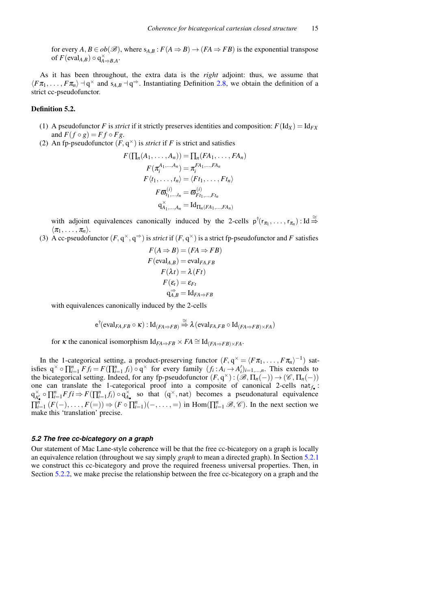for every  $A, B \in ob(\mathcal{B})$ , where  $s_{A,B}: F(A \Rightarrow B) \rightarrow (FA \Rightarrow FB)$  is the exponential transpose of  $F(\text{eval}_{A,B}) \circ q_{A\Rightarrow B,A}^{\times}$ .

As it has been throughout, the extra data is the *right* adjoint: thus, we assume that  $\langle F\pi_1, \ldots, F\pi_n \rangle \dashv q^\times$  and  $s_{A,B} \dashv q^\Rightarrow$ . Instantiating Definition [2.8,](#page-6-1) we obtain the definition of a strict cc-pseudofunctor.

#### Definition 5.2.

- (1) A pseudofunctor *F* is *strict* if it strictly preserves identities and composition:  $F(\text{Id}_X) = \text{Id}_{FX}$ and  $F(f \circ g) = F f \circ F g$ .
- (2) An fp-pseudofunctor  $(F, q^{\times})$  is *strict* if *F* is strict and satisfies

$$
F(\prod_n(A_1,\ldots,A_n)) = \prod_n(FA_1,\ldots,FA_n)
$$
  
\n
$$
F(\pi_i^{A_1,\ldots,A_n}) = \pi_i^{FA_1,\ldots,FA_n}
$$
  
\n
$$
F\langle t_1,\ldots,t_n\rangle = \langle Ft_1,\ldots,Ft_n\rangle
$$
  
\n
$$
F\varpi_{i_1,\ldots,i_n}^{(i)} = \varpi_{Ft_1,\ldots,Ft_n}^{(i)}
$$
  
\n
$$
q_{A_1,\ldots,A_n}^{\times} = \mathrm{Id}_{\Pi_n(FA_1,\ldots,FA_n)}
$$

with adjoint equivalences canonically induced by the 2-cells  $p^{\dagger}(r_{\pi_1}, \ldots, r_{\pi_n}) : \text{Id} \stackrel{\cong}{\Rightarrow}$  $\langle \pi_1, \ldots, \pi_n \rangle$ .

(3) A cc-pseudofunctor  $(F, q^{\times}, q^{\Rightarrow})$  is *strict* if  $(F, q^{\times})$  is a strict fp-pseudofunctor and *F* satisfies

$$
F(A \Rightarrow B) = (FA \Rightarrow FB)
$$
  
\n
$$
F(\text{eval}_{A,B}) = \text{eval}_{FA,FB}
$$
  
\n
$$
F(\lambda t) = \lambda (Ft)
$$
  
\n
$$
F(\varepsilon_t) = \varepsilon_{Ft}
$$
  
\n
$$
q_{A,B}^{\Rightarrow} = \text{Id}_{FA \Rightarrow FB}
$$

with equivalences canonically induced by the 2-cells

$$
{\mathop{\mathrm{e}}\nolimits^{\dagger}(\mathop{\mathrm{eval}}\nolimits_{FA,FB}\circ\kappa):\mathop{\mathrm{Id}}\nolimits_{(FA\Rightarrow FB)}\overset{\cong}{\to} \lambda\left(\mathop{\mathrm{eval}}\nolimits_{FA,FB}\circ\mathop{\mathrm{Id}}\nolimits_{(FA\Rightarrow FB)\times FA}\right)}
$$

for  $\kappa$  the canonical isomorphism  $Id_{FA\Rightarrow FB} \times FA \cong Id_{(FA\Rightarrow FB)\times FA}$ .

In the 1-categorical setting, a product-preserving functor  $(F, q^{\times} = \langle F\pi_1, \ldots, F\pi_n \rangle^{-1})$  satisfies  $q^{\times} \circ \prod_{i=1}^{n} F f_i = F(\prod_{i=1}^{n} f_i) \circ q^{\times}$  for every family  $(f_i : A_i \to A'_i)_{i=1,\dots,n}$ . This extends to the bicategorical setting. Indeed, for any fp-pseudofunctor  $(F, q^{\times})$ :  $(\mathscr{B}, \Pi_n(-)) \to (\mathscr{C}, \Pi_n(-))$ one can translate the 1-categorical proof into a composite of canonical 2-cells nat*f*• :  $q_{A'_\bullet}^{\times} \circ \prod_{i=1}^n F f i \Rightarrow F(\prod_{i=1}^n f_i) \circ q_{A_\bullet}^{\times}$  so that  $(q^{\times}, \text{nat})$  becomes a pseudonatural equivalence  $\prod_{i=1}^{n}$   $(F(-), \ldots, F(-)) \Rightarrow (F \circ \prod_{i=1}^{n})(-, \ldots, F(-))$  in  $\text{Hom}(\prod_{i=1}^{n} \mathcal{B}, \mathcal{C})$ . In the next section we make this 'translation' precise.

## <span id="page-14-0"></span>*5.2 The free cc-bicategory on a graph*

Our statement of Mac Lane-style coherence will be that the free cc-bicategory on a graph is locally an equivalence relation (throughout we say simply *graph* to mean a directed graph). In Section [5.2.1](#page-15-0) we construct this cc-bicategory and prove the required freeness universal properties. Then, in Section [5.2.2,](#page-18-0) we make precise the relationship between the free cc-bicategory on a graph and the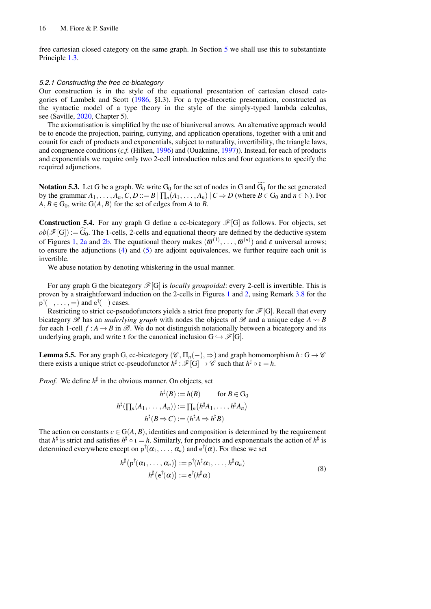free cartesian closed category on the same graph. In Section [5](#page-13-0) we shall use this to substantiate Principle [1.3.](#page-3-1)

#### <span id="page-15-0"></span>*5.2.1 Constructing the free cc-bicategory*

Our construction is in the style of the equational presentation of cartesian closed categories of Lambek and Scott [\(1986,](#page-22-21) §I.3). For a type-theoretic presentation, constructed as the syntactic model of a type theory in the style of the simply-typed lambda calculus, see (Saville, [2020,](#page-22-18) Chapter 5).

The axiomatisation is simplified by the use of biuniversal arrows. An alternative approach would be to encode the projection, pairing, currying, and application operations, together with a unit and counit for each of products and exponentials, subject to naturality, invertibility, the triangle laws, and congruence conditions (*c.f.* (Hilken, [1996\)](#page-22-22) and (Ouaknine, [1997\)](#page-22-11)). Instead, for each of products and exponentials we require only two 2-cell introduction rules and four equations to specify the required adjunctions.

**Notation 5.3.** Let G be a graph. We write  $G_0$  for the set of nodes in G and  $\widetilde{G_0}$  for the set generated by the grammar  $A_1, \ldots, A_n, C, D ::= B \mid \prod_n (A_1, \ldots, A_n) \mid C \Rightarrow D$  (where  $B \in G_0$  and  $n \in \mathbb{N}$ ). For  $A, B \in G_0$ , write  $G(A, B)$  for the set of edges from *A* to *B*.

**Construction 5.4.** For any graph G define a cc-bicategory  $\mathscr{F}[G]$  as follows. For objects, set  $ob(\mathscr{F}[G]) := \widetilde{G_0}$ . The 1-cells, 2-cells and equational theory are defined by the deductive system of Figures [1,](#page-16-0) [2a](#page-17-0) and [2b.](#page-17-0) The equational theory makes  $(\bar{\omega}^{(1)}, \ldots, \bar{\omega}^{(n)})$  and  $\varepsilon$  universal arrows; to ensure the adjunctions [\(4\)](#page-10-0) and [\(5\)](#page-11-0) are adjoint equivalences, we further require each unit is invertible.

We abuse notation by denoting whiskering in the usual manner.

For any graph G the bicategory  $\mathscr{F}[G]$  is *locally groupoidal*: every 2-cell is invertible. This is proven by a straightforward induction on the 2-cells in Figures [1](#page-16-0) and [2,](#page-17-0) using Remark [3.8](#page-11-1) for the  $p^{\dagger}(-, \ldots, =)$  and  $e^{\dagger}(-)$  cases.

Restricting to strict cc-pseudofunctors yields a strict free property for  $\mathscr{F}[G]$ . Recall that every bicategory  $\mathscr B$  has an *underlying graph* with nodes the objects of  $\mathscr B$  and a unique edge  $A \rightsquigarrow B$ for each 1-cell  $f : A \to B$  in  $\mathcal{B}$ . We do not distinguish notationally between a bicategory and its underlying graph, and write *t* for the canonical inclusion  $G \hookrightarrow \mathscr{F}[G]$ .

<span id="page-15-2"></span>**Lemma 5.5.** For any graph G, cc-bicategory  $(\mathscr{C}, \Pi_n(-), \Rightarrow)$  and graph homomorphism  $h : G \rightarrow \mathscr{C}$ there exists a unique strict cc-pseudofunctor  $h^{\sharp}: \mathscr{F}[G] \to \mathscr{C}$  such that  $h^{\sharp} \circ \iota = h$ .

*Proof.* We define  $h^{\sharp}$  in the obvious manner. On objects, set

$$
h^{\sharp}(B) := h(B) \quad \text{for } B \in \mathcal{G}_0
$$

$$
h^{\sharp}(\prod_n (A_1, \dots, A_n)) := \prod_n (h^{\sharp} A_1, \dots, h^{\sharp} A_n)
$$

$$
h^{\sharp}(B \Rightarrow C) := (h^{\sharp} A \Rightarrow h^{\sharp} B)
$$

The action on constants  $c \in G(A, B)$ , identities and composition is determined by the requirement that  $h^{\sharp}$  is strict and satisfies  $h^{\sharp} \circ \iota = h$ . Similarly, for products and exponentials the action of  $h^{\sharp}$  is determined everywhere except on  $p^{\dagger}(\alpha_1, \dots, \alpha_n)$  and  $e^{\dagger}(\alpha)$ . For these we set

<span id="page-15-1"></span>
$$
h^{\sharp}(\mathsf{p}^{\dagger}(\alpha_1,\ldots,\alpha_n)) := \mathsf{p}^{\dagger}(h^{\sharp}\alpha_1,\ldots,h^{\sharp}\alpha_n)
$$
  

$$
h^{\sharp}(\mathsf{e}^{\dagger}(\alpha)) := \mathsf{e}^{\dagger}(h^{\sharp}\alpha)
$$
 (8)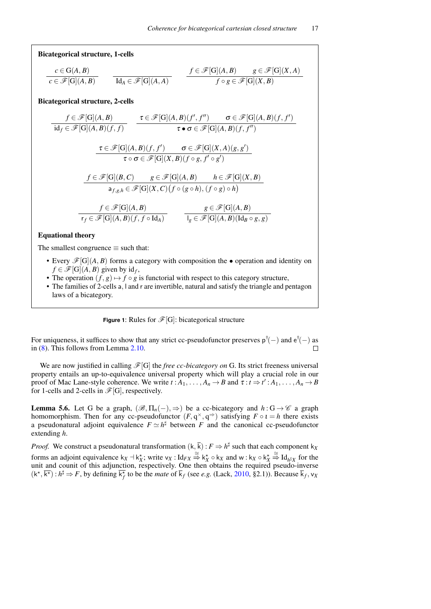<span id="page-16-0"></span>Bicategorical structure, 1-cells

$$
\frac{c \in G(A, B)}{c \in \mathscr{F}[G](A, B)} \qquad \frac{f \in \mathscr{F}[G](A, B) \qquad g \in \mathscr{F}[G](X, A)}{Id_A \in \mathscr{F}[G](A, A)} \qquad \frac{f \in \mathscr{F}[G](A, B) \qquad g \in \mathscr{F}[G](X, A)}{f \circ g \in \mathscr{F}[G](X, B)}
$$

Bicategorical structure, 2-cells

$$
\frac{f \in \mathscr{F}[G](A,B)}{\mathrm{id}_f \in \mathscr{F}[G](A,B)(f,f)} \quad \frac{\tau \in \mathscr{F}[G](A,B)(f',f'') \quad \sigma \in \mathscr{F}[G](A,B)(f,f')}{\tau \bullet \sigma \in \mathscr{F}[G](A,B)(f,f'')} \\
\frac{\tau \in \mathscr{F}[G](A,B)(f,f') \quad \sigma \in \mathscr{F}[G](X,A)(g,g')}{\tau \circ \sigma \in \mathscr{F}[G](X,B)(f \circ g, f' \circ g')}
$$
\n
$$
\frac{f \in \mathscr{F}[G](B,C) \quad g \in \mathscr{F}[G](A,B) \quad h \in \mathscr{F}[G](X,B)}{a_{f,g,h} \in \mathscr{F}[G](X,C)(f \circ (g \circ h), (f \circ g) \circ h)}
$$
\n
$$
\frac{f \in \mathscr{F}[G](A,B)}{\tau_f \in \mathscr{F}[G](A,B)(f,f \circ \mathrm{Id}_A)} \quad \frac{g \in \mathscr{F}[G](A,B)}{\tau_g \in \mathscr{F}[G](A,B)(\mathrm{Id}_B \circ g, g)}
$$

## Equational theory

The smallest congruence  $\equiv$  such that:

- Every  $\mathcal{F}[G](A, B)$  forms a category with composition the operation and identity on  $f \in \mathscr{F}[G](A, B)$  given by  $id_f$ ,
- The operation  $(f, g) \mapsto f \circ g$  is functorial with respect to this category structure,
- The families of 2-cells a, l and r are invertible, natural and satisfy the triangle and pentagon laws of a bicategory.

## **Figure 1:** Rules for  $\mathcal{F}[G]$ : bicategorical structure

For uniqueness, it suffices to show that any strict cc-pseudofunctor preserves  $p^{\dagger}(-)$  and  $e^{\dagger}(-)$  as in [\(8\)](#page-15-1). This follows from Lemma [2.10.](#page-7-1)

We are now justified in calling  $\mathcal{F}[G]$  the *free cc-bicategory on* G. Its strict freeness universal property entails an up-to-equivalence universal property which will play a crucial role in our proof of Mac Lane-style coherence. We write  $t : A_1, \ldots, A_n \to B$  and  $\tau : t \to t' : A_1, \ldots, A_n \to B$ for 1-cells and 2-cells in  $\mathscr{F}[G]$ , respectively.

<span id="page-16-1"></span>**Lemma 5.6.** Let G be a graph,  $(\mathcal{B}, \Pi_n(-), \Rightarrow)$  be a cc-bicategory and  $h : G \rightarrow \mathcal{C}$  a graph homomorphism. Then for any cc-pseudofunctor  $(F, q^{\times}, q^{\Rightarrow})$  satisfying  $F \circ \iota = h$  there exists a pseudonatural adjoint equivalence  $F \simeq h^{\sharp}$  between *F* and the canonical cc-pseudofunctor extending *h*.

*Proof.* We construct a pseudonatural transformation  $(k, \overline{k}) : F \Rightarrow h^{\sharp}$  such that each component  $k_X$ forms an adjoint equivalence  $k_X - k_X^*$ ; write  $v_X : Id_{FX} \stackrel{\cong}{\Rightarrow} k_X^* \circ k_X$  and  $w : k_X \circ k_X^* \stackrel{\cong}{\Rightarrow} Id_{h^{\sharp}X}$  for the unit and counit of this adjunction, respectively. One then obtains the required pseudo-inverse  $(k^*, \overline{k^*}) : h^{\sharp} \Rightarrow F$ , by defining  $\overline{k_f^*}$  to be the *mate* of  $\overline{k}_f$  (see *e.g.* (Lack, [2010,](#page-22-5) §2.1)). Because  $\overline{k}_f$ ,  $v_x$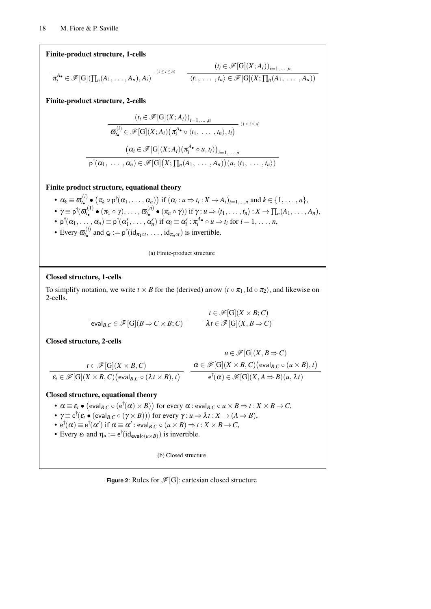<span id="page-17-0"></span>Finite-product structure, 1-cells

$$
\pi_i^{A_{\bullet}} \in \mathscr{F}[G](\prod_n(A_1,\ldots,A_n),A_i) \qquad (1 \leq i \leq n) \qquad \frac{(t_i \in \mathscr{F}[G](X;A_i))_{i=1,\ldots,n}}{\langle t_1,\ldots,t_n \rangle \in \mathscr{F}[G](X;\prod_n(A_1,\ldots,A_n))}
$$

Finite-product structure, 2-cells

$$
(t_i \in \mathscr{F}[\mathbf{G}](X; A_i))_{i=1,\dots,n}
$$

$$
\overline{\boldsymbol{\varpi}_i^{(i)}} \in \mathscr{F}[\mathbf{G}](X; A_i) (\pi_i^{A_{\bullet}} \circ \langle t_1, \dots, t_n \rangle, t_i)
$$

$$
(\boldsymbol{\alpha}_i \in \mathscr{F}[\mathbf{G}](X; A_i) (\pi_i^{A_{\bullet}} \circ u, t_i))_{i=1,\dots,n}
$$

$$
\mathbf{p}^{\dagger}(\boldsymbol{\alpha}_1, \dots, \boldsymbol{\alpha}_n) \in \mathscr{F}[\mathbf{G}](X; \prod_n (A_1, \dots, A_n)) (u, \langle t_1, \dots, t_n \rangle)
$$

Finite product structure, equational theory

- $\alpha_k \equiv \overline{\omega}_{t_\bullet}^{(i)} \bullet (\pi_k \circ \mathsf{p}^\dagger(\alpha_1, \dots, \alpha_n))$  if  $(\alpha_i : u \Rightarrow t_i : X \to A_i)_{i=1,\dots,n}$  and  $k \in \{1, \dots, n\}$ ,  $\boldsymbol{\gamma} \equiv \mathsf{p}^\dagger(\boldsymbol{\varpi}_{t_\bullet}^{(1)} \bullet (\pi_1 \circ \gamma), \ldots, \boldsymbol{\varpi}_{t_\bullet}^{(n)} \bullet (\pi_n \circ \gamma)) \text{ if } \gamma: u \Rightarrow \langle t_1, \ldots, t_n \rangle: X \to \prod_n (A_1, \ldots, A_n),$
- $p^{\dagger}(\alpha_1, \ldots, \alpha_n) \equiv p^{\dagger}(\alpha'_1, \ldots, \alpha'_n)$  if  $\alpha_i \equiv \alpha'_i : \pi_i^{A_{\bullet}} \circ u \Rightarrow t_i$  for  $i = 1, \ldots, n$ ,
- 
- Every  $\sigma_{t_{\bullet}}^{(i)}$  and  $\zeta_t := p^{\dagger}(\mathrm{id}_{\pi_1 \circ t}, \dots, \mathrm{id}_{\pi_n \circ t})$  is invertible.

(a) Finite-product structure

# Closed structure, 1-cells

To simplify notation, we write  $t \times B$  for the (derived) arrow  $\langle t \circ \pi_1, \text{Id} \circ \pi_2 \rangle$ , and likewise on 2-cells.

$$
\frac{t \in \mathscr{F}[G](X \times B; C)}{\lambda t \in \mathscr{F}[G](X, B \Rightarrow C)}
$$
\n
$$
\frac{t \in \mathscr{F}[G](X \times B; C)}{\lambda t \in \mathscr{F}[G](X, B \Rightarrow C)}
$$

Closed structure, 2-cells

$$
u \in \mathscr{F}[G](X, B \Rightarrow C)
$$
  

$$
t \in \mathscr{F}[G](X \times B, C)
$$
  

$$
\mathcal{E}_t \in \mathscr{F}[G](X \times B, C) \text{ (eval}_{B,C} \circ (\lambda t \times B), t)
$$
  

$$
\mathcal{E}_t \in \mathscr{F}[G](X \times B, C) \text{ (eval}_{B,C} \circ (\lambda t \times B), t)
$$
  

$$
\mathbf{e}^\dagger(\alpha) \in \mathscr{F}[G](X, A \Rightarrow B)(u, \lambda t)
$$

## Closed structure, equational theory

- $\bullet$   $\alpha \equiv \varepsilon_t \bullet (\text{eval}_{B,C} \circ (\text{e}^{\dag}(\alpha) \times B))$  for every  $\alpha$  : eval $_{B,C} \circ u \times B \Rightarrow t : X \times B \to C,$
- $\gamma \equiv e^{\dagger}(\varepsilon_t \bullet (\text{eval}_{B,C} \circ (\gamma \times B)))$  for every  $\gamma : u \Rightarrow \lambda t : X \rightarrow (A \Rightarrow B)$ ,
- $\bullet\, \text{ e}^\dagger\!(\alpha)\equiv \text{ e}^\dagger\!(\alpha')\text{ if }\alpha\equiv \alpha':\text{eval}_{B,C}\circ(u\times B)\Rightarrow t:X\times B\rightarrow C,$
- Every  $\varepsilon_t$  and  $\eta_u := e^{\dagger}(\mathrm{id}_{\text{eval}\circ(u\times B)})$  is invertible.

(b) Closed structure

**Figure 2:** Rules for  $\mathcal{F}[G]$ : cartesian closed structure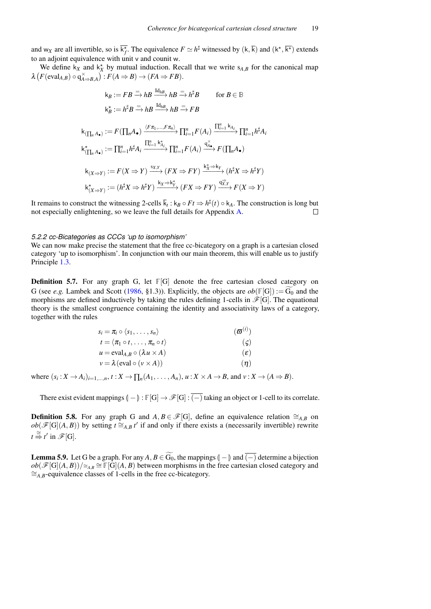and w<sub>X</sub> are all invertible, so is  $\overline{k_f}$ . The equivalence  $F \simeq h^{\sharp}$  witnessed by  $(k, \overline{k})$  and  $(k^*, \overline{k^*})$  extends to an adjoint equivalence with unit v and counit w.

We define  $k_X$  and  $k_X^*$  by mutual induction. Recall that we write  $s_{A,B}$  for the canonical map  $\lambda \left( F(\text{eval}_{A,B}) \circ q_{A \Rightarrow B,A}^{\times} \right) : F(A \Rightarrow B) \rightarrow (FA \Rightarrow FB).$ 

$$
k_B := FB \xrightarrow{\equiv} hB \xrightarrow{\mathrm{Id}_{hB}} hB \xrightarrow{\equiv} h^{\sharp}B \qquad \text{for } B \in \mathbb{B}
$$
  
\n
$$
k_B^* := h^{\sharp}B \xrightarrow{\equiv} hB \xrightarrow{\mathrm{Id}_{hB}} hB \xrightarrow{\equiv} FB
$$
  
\n
$$
k_{(\prod_n A_{\bullet})} := F(\prod_n A_{\bullet}) \xrightarrow{\langle F\pi_1, \dots, F\pi_n \rangle} \prod_{i=1}^n F(A_i) \xrightarrow{\prod_{i=1}^n k_{A_i}} \prod_{i=1}^n h^{\sharp}A_i
$$
  
\n
$$
k_{(\prod_n A_{\bullet})}^* := \prod_{i=1}^n h^{\sharp}A_i \xrightarrow{\prod_{i=1}^n k_{A_i}^*} \prod_{i=1}^n F(A_i) \xrightarrow{q_{A_{\bullet}}^{\times}} F(\prod_n A_{\bullet})
$$
  
\n
$$
k_{(X \Rightarrow Y)} := F(X \Rightarrow Y) \xrightarrow{\text{sx}, Y} (FX \Rightarrow FY) \xrightarrow{k_X^* \Rightarrow k_Y} (h^{\sharp}X \Rightarrow h^{\sharp}Y)
$$
  
\n
$$
k_{(X \Rightarrow Y)}^* := (h^{\sharp}X \Rightarrow h^{\sharp}Y) \xrightarrow{k_X \Rightarrow k_Y^*} (FX \Rightarrow FY) \xrightarrow{q_{X,Y}^{\prec}} F(X \Rightarrow Y)
$$

It remains to construct the witnessing 2-cells  $\bar{k}_t$  :  $k_B \circ Ft \Rightarrow h^{\sharp}(t) \circ k_A$ . The construction is long but not especially enlightening, so we leave the full details for Appendix [A.](#page-22-23)  $\Box$ 

#### <span id="page-18-0"></span>*5.2.2 cc-Bicategories as CCCs 'up to isomorphism'*

We can now make precise the statement that the free cc-bicategory on a graph is a cartesian closed category 'up to isomorphism'. In conjunction with our main theorem, this will enable us to justify Principle [1.3.](#page-3-1)

<span id="page-18-1"></span>**Definition 5.7.** For any graph G, let  $\mathbb{F}[G]$  denote the free cartesian closed category on G (see *e.g.* Lambek and Scott [\(1986,](#page-22-21) §1.3)). Explicitly, the objects are  $ob(\mathbb{F}[G]) := G_0$  and the morphisms are defined inductively by taking the rules defining 1-cells in  $\mathscr{F}[G]$ . The equational theory is the smallest congruence containing the identity and associativity laws of a category, together with the rules

| $s_i = \pi_i \circ \langle s_1, \ldots, s_n \rangle$       | $(\boldsymbol{\varpi}^{(i)})$ |
|------------------------------------------------------------|-------------------------------|
| $t = \langle \pi_1 \circ t, \ldots, \pi_n \circ t \rangle$ | $(\varsigma)$                 |
| $u = \text{eval}_{A,B} \circ (\lambda u \times A)$         | $(\varepsilon)$               |
| $v = \lambda$ (eval $\circ$ $(v \times A)$ )               | $(\eta)$                      |

where  $(s_i: X \to A_i)_{i=1,\dots,n}$ ,  $t: X \to \prod_n (A_1, \dots, A_n)$ ,  $u: X \times A \to B$ , and  $v: X \to (A \Rightarrow B)$ .

There exist evident mappings  $\left[ - \right] : \mathbb{F}[G] \to \mathcal{F}[G] : \overline{(-)}$  taking an object or 1-cell to its correlate.

**Definition 5.8.** For any graph G and  $A, B \in \mathcal{F}[G]$ , define an equivalence relation  $\cong_{A,B}$  on  $ob(\mathscr{F}[G](A, B))$  by setting  $t \cong_{A, B} t'$  if and only if there exists a (necessarily invertible) rewrite  $t \stackrel{\cong}{\Rightarrow} t'$  in  $\mathscr{F}[G]$ .

<span id="page-18-2"></span>**Lemma 5.9.** Let G be a graph. For any  $A, B \in \widetilde{G_0}$ , the mappings  $\left(-\right)$  and  $\overline{(-)}$  determine a bijection  $ob(\mathcal{F}[G](A, B))$ /≅<sub>*A,B*</sub>  $\cong$  **F**[G](*A*, *B*) between morphisms in the free cartesian closed category and ∼=*A*,*B*-equivalence classes of 1-cells in the free cc-bicategory.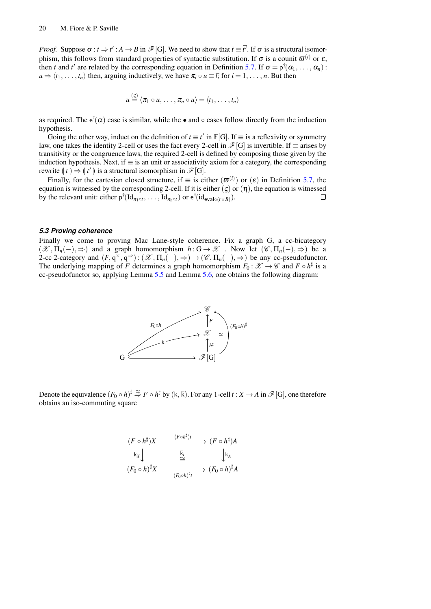*Proof.* Suppose  $\sigma : t \Rightarrow t' : A \rightarrow B$  in  $\mathcal{F}[G]$ . We need to show that  $\overline{t} \equiv \overline{t'}$ . If  $\sigma$  is a structural isomorphism, this follows from standard properties of syntactic substitution. If  $\sigma$  is a counit  $\varpi^{(i)}$  or  $\varepsilon$ , then *t* and *t'* are related by the corresponding equation in Definition [5.7.](#page-18-1) If  $\sigma = p^{\dagger}(\alpha_1, \dots, \alpha_n)$ :  $u \Rightarrow \langle t_1, \ldots, t_n \rangle$  then, arguing inductively, we have  $\pi_i \circ \overline{u} \equiv \overline{t_i}$  for  $i = 1, \ldots, n$ . But then

$$
u \stackrel{(g)}{=} \langle \pi_1 \circ u, \ldots, \pi_n \circ u \rangle = \langle t_1, \ldots, t_n \rangle
$$

as required. The  $e^{\dagger}(\alpha)$  case is similar, while the • and  $\circ$  cases follow directly from the induction hypothesis.

Going the other way, induct on the definition of  $t \equiv t'$  in  $\mathbb{F}[G]$ . If  $\equiv$  is a reflexivity or symmetry law, one takes the identity 2-cell or uses the fact every 2-cell in  $\mathcal{F}[G]$  is invertible. If  $\equiv$  arises by transitivity or the congruence laws, the required 2-cell is defined by composing those given by the induction hypothesis. Next, if  $\equiv$  is an unit or associativity axiom for a category, the corresponding rewrite  $(t) \to (t')$  is a structural isomorphism in  $\mathcal{F}[G]$ .<br>Einelly for the cortesion alocal structure if  $\equiv$  is ai

Finally, for the cartesian closed structure, if  $\equiv$  is either  $(\boldsymbol{\varpi}^{(i)})$  or  $(\varepsilon)$  in Definition [5.7,](#page-18-1) the equation is witnessed by the corresponding 2-cell. If it is either  $(\varsigma)$  or  $(\eta)$ , the equation is witnessed by the relevant unit: either  $p^{\dagger}(\mathrm{Id}_{\pi_1 \circ t}, \ldots, \mathrm{Id}_{\pi_n \circ t})$  or  $e^{\dagger}(\mathrm{id}_{\mathrm{eval} \circ (t \times B)})$ .  $\Box$ 

#### *5.3 Proving coherence*

Finally we come to proving Mac Lane-style coherence. Fix a graph G, a cc-bicategory  $(\mathscr{X}, \Pi_n(-), \Rightarrow)$  and a graph homomorphism  $h : G \to \mathscr{X}$ . Now let  $(\mathscr{C}, \Pi_n(-), \Rightarrow)$  be a 2-cc 2-category and  $(F, q^{\times}, q^{\Rightarrow})$ :  $(\mathscr{X}, \Pi_n(-), \Rightarrow) \rightarrow (\mathscr{C}, \Pi_n(-), \Rightarrow)$  be any cc-pseudofunctor. The underlying mapping of *F* determines a graph homomorphism  $F_0: \mathscr{X} \to \mathscr{C}$  and  $F \circ h^{\sharp}$  is a cc-pseudofunctor so, applying Lemma [5.5](#page-15-2) and Lemma [5.6,](#page-16-1) one obtains the following diagram:



Denote the equivalence  $(F_0 \circ h)^\sharp \stackrel{\simeq}{\Rightarrow} F \circ h^\sharp$  by  $(k, \overline{k})$ . For any 1-cell  $t : X \to A$  in  $\mathscr{F}[G]$ , one therefore obtains an iso-commuting square

$$
(F \circ h^{\sharp})X \xrightarrow{\qquad (F \circ h^{\sharp})t} (F \circ h^{\sharp})A
$$
  
\n
$$
\downarrow_{X} \downarrow \xrightarrow{\overline{k}_{t}} (\overline{F_{0} \circ h})^{\sharp}X \xrightarrow{\overline{k}_{t}} (\overline{F_{0} \circ h})^{\sharp}A
$$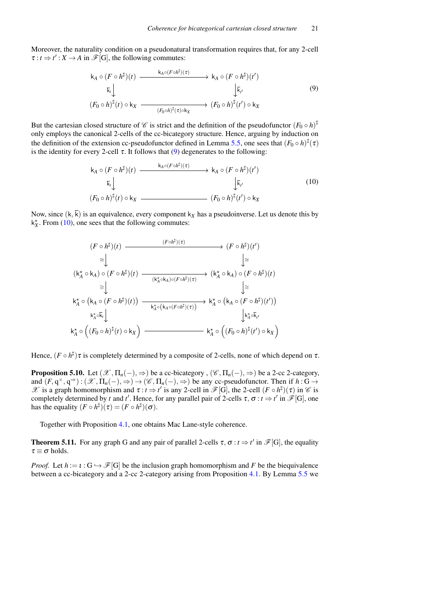Moreover, the naturality condition on a pseudonatural transformation requires that, for any 2-cell  $\tau : t \to t' : X \to A$  in  $\mathcal{F}[G]$ , the following commutes:

<span id="page-20-1"></span>
$$
k_A \circ (F \circ h^{\sharp})(t) \xrightarrow{k_A \circ (F \circ h^{\sharp})(\tau)} k_A \circ (F \circ h^{\sharp})(t')
$$
  
\n
$$
\overline{k}_t \downarrow \qquad \qquad \downarrow \overline{k}_{t'}
$$
\n
$$
(F_0 \circ h)^{\sharp}(t) \circ k_X \xrightarrow{(F_0 \circ h)^{\sharp}(\tau) \circ k_X} (F_0 \circ h)^{\sharp}(t') \circ k_X
$$
\n(9)

But the cartesian closed structure of  $\mathscr C$  is strict and the definition of the pseudofunctor  $(F_0 \circ h)^{\sharp}$ only employs the canonical 2-cells of the cc-bicategory structure. Hence, arguing by induction on the definition of the extension cc-pseudofunctor defined in Lemma [5.5,](#page-15-2) one sees that  $(F_0 \circ h)^{\sharp}(\tau)$ is the identity for every 2-cell  $\tau$ . It follows that [\(9\)](#page-20-1) degenerates to the following:

<span id="page-20-2"></span>
$$
k_A \circ (F \circ h^{\sharp})(t) \xrightarrow{k_A \circ (F \circ h^{\sharp})(\tau)} k_A \circ (F \circ h^{\sharp})(t')
$$
  
\n
$$
\overline{k}_t \downarrow \qquad \qquad \downarrow \overline{k}_{t'}
$$
\n
$$
(F_0 \circ h)^{\sharp}(t) \circ k_X \xrightarrow{\qquad \qquad} (F_0 \circ h)^{\sharp}(t') \circ k_X
$$
\n
$$
(10)
$$

Now, since  $(k, \overline{k})$  is an equivalence, every component  $k_x$  has a pseudoinverse. Let us denote this by  $k_X^*$ . From [\(10\)](#page-20-2), one sees that the following commutes:

$$
(F \circ h^{\sharp})(t) \xrightarrow{\qquad (F \circ h^{\sharp})(\tau)} (F \circ h^{\sharp})(t')
$$
\n
$$
\cong \bigcup_{k_{A}^{*} \circ k_{A}} \bigcirc (F \circ h^{\sharp})(t) \xrightarrow{\qquad (k_{A}^{*} \circ k_{A}) \circ (F \circ h^{\sharp})(\tau)} (k_{A}^{*} \circ k_{A}) \circ (F \circ h^{\sharp})(t)
$$
\n
$$
\cong \bigcup_{k_{A}^{*} \circ (k_{A} \circ (F \circ h^{\sharp})(t))} \xrightarrow{\qquad (k_{A}^{*} \circ k_{A}) \circ (F \circ h^{\sharp})(t)} (k_{A}^{*} \circ (k_{A} \circ (F \circ h^{\sharp})(t))
$$
\n
$$
\downarrow k_{A}^{*} \circ \left( (F_{0} \circ h)^{\sharp}(t) \circ k_{X} \right) \xrightarrow{\qquad (k_{A}^{*} \circ (k_{A} \circ (F \circ h^{\sharp})(\tau))} (k_{A}^{*} \circ (F_{0} \circ h)^{\sharp}(t') \circ k_{X})
$$

<span id="page-20-3"></span>Hence,  $(F \circ h^{\sharp})\tau$  is completely determined by a composite of 2-cells, none of which depend on  $\tau$ .

**Proposition 5.10.** Let  $(\mathcal{X}, \Pi_n(-), \Rightarrow)$  be a cc-bicategory,  $(\mathcal{C}, \Pi_n(-), \Rightarrow)$  be a 2-cc 2-category, and  $(F, q^{\times}, q^{\Rightarrow}) : (\mathcal{X}, \Pi_n(-), \Rightarrow) \rightarrow (\mathcal{C}, \Pi_n(-), \Rightarrow)$  be any cc-pseudofunctor. Then if  $h : G \rightarrow$  $\mathscr X$  is a graph homomorphism and  $\tau : t \to t'$  is any 2-cell in  $\mathscr F[G]$ , the 2-cell  $(F \circ h^{\sharp})(\tau)$  in  $\mathscr C$  is completely determined by *t* and *t'*. Hence, for any parallel pair of 2-cells  $\tau$ ,  $\sigma$  :  $t \Rightarrow t'$  in  $\mathscr{F}[G]$ , one has the equality  $(F \circ h^{\sharp})(\tau) = (F \circ h^{\sharp})(\sigma)$ .

Together with Proposition [4.1,](#page-12-1) one obtains Mac Lane-style coherence.

<span id="page-20-0"></span>**Theorem 5.11.** For any graph G and any pair of parallel 2-cells  $\tau$ ,  $\sigma$  :  $t \Rightarrow t'$  in  $\mathcal{F}[G]$ , the equality  $\tau \equiv \sigma$  holds.

*Proof.* Let  $h := \iota : G \hookrightarrow \mathscr{F}[G]$  be the inclusion graph homomorphism and F be the biequivalence between a cc-bicategory and a 2-cc 2-category arising from Proposition [4.1.](#page-12-1) By Lemma [5.5](#page-15-2) we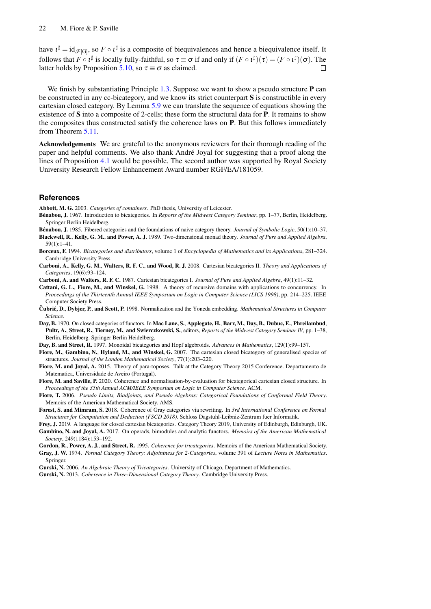have  $\iota^{\sharp} = id_{\mathscr{F}[G]}$ , so  $F \circ \iota^{\sharp}$  is a composite of biequivalences and hence a biequivalence itself. It follows that  $F \circ \iota^{\sharp}$  is locally fully-faithful, so  $\tau \equiv \sigma$  if and only if  $(F \circ \iota^{\sharp})(\tau) = (F \circ \iota^{\sharp})(\sigma)$ . The latter holds by Proposition [5.10,](#page-20-3) so  $\tau \equiv \sigma$  as claimed.  $\Box$ 

We finish by substantiating Principle [1.3.](#page-3-1) Suppose we want to show a pseudo structure **P** can be constructed in any cc-bicategory, and we know its strict counterpart S is constructible in every cartesian closed category. By Lemma [5.9](#page-18-2) we can translate the sequence of equations showing the existence of S into a composite of 2-cells; these form the structural data for P. It remains to show the composites thus constructed satisfy the coherence laws on P. But this follows immediately from Theorem [5.11.](#page-20-0)

Acknowledgements We are grateful to the anonymous reviewers for their thorough reading of the paper and helpful comments. We also thank Andre Joyal for suggesting that a proof along the ´ lines of Proposition [4.1](#page-12-1) would be possible. The second author was supported by Royal Society University Research Fellow Enhancement Award number RGF/EA/181059.

#### **References**

<span id="page-21-5"></span>Abbott, M. G. 2003. *Categories of containers*. PhD thesis, University of Leicester.

- <span id="page-21-3"></span>Bénabou, J. 1967. Introduction to bicategories. In *Reports of the Midwest Category Seminar*, pp. 1–77, Berlin, Heidelberg. Springer Berlin Heidelberg.
- <span id="page-21-8"></span>Bénabou, J. 1985. Fibered categories and the foundations of naive category theory. *Journal of Symbolic Logic*, 50(1):10–37.
- <span id="page-21-6"></span>Blackwell, R., Kelly, G. M., and Power, A. J. 1989. Two-dimensional monad theory. *Journal of Pure and Applied Algebra*,  $59(1):1-41$ .
- <span id="page-21-17"></span>Borceux, F. 1994. *Bicategories and distributors*, volume 1 of *Encyclopedia of Mathematics and its Applications*, 281–324. Cambridge University Press.
- <span id="page-21-14"></span>Carboni, A., Kelly, G. M., Walters, R. F. C., and Wood, R. J. 2008. Cartesian bicategories II. *Theory and Applications of Categories*, 19(6):93–124.
- <span id="page-21-13"></span>Carboni, A. and Walters, R. F. C. 1987. Cartesian bicategories I. *Journal of Pure and Applied Algebra*, 49(1):11–32.
- <span id="page-21-4"></span>Cattani, G. L., Fiore, M., and Winskel, G. 1998. A theory of recursive domains with applications to concurrency. In *Proceedings of the Thirteenth Annual IEEE Symposium on Logic in Computer Science (LICS 1998)*, pp. 214–225. IEEE Computer Society Press.
- <span id="page-21-0"></span>Čubrić, D., Dybjer, P., and Scott, P. 1998. Normalization and the Yoneda embedding. *Mathematical Structures in Computer Science*.
- <span id="page-21-21"></span>Day, B. 1970. On closed categories of functors. In Mac Lane, S., Applegate, H., Barr, M., Day, B., Dubuc, E., Phreilambud, Pultr, A., Street, R., Tierney, M., and Swierczkowski, S., editors, *Reports of the Midwest Category Seminar IV*, pp. 1–38, Berlin, Heidelberg. Springer Berlin Heidelberg.
- <span id="page-21-7"></span>Day, B. and Street, R. 1997. Monoidal bicategories and Hopf algebroids. *Advances in Mathematics*, 129(1):99–157.
- <span id="page-21-2"></span>Fiore, M., Gambino, N., Hyland, M., and Winskel, G. 2007. The cartesian closed bicategory of generalised species of structures. *Journal of the London Mathematical Society*, 77(1):203–220.
- <span id="page-21-11"></span>Fiore, M. and Joyal, A. 2015. Theory of para-toposes. Talk at the Category Theory 2015 Conference. Departamento de Matematica, Universidade de Aveiro (Portugal).
- <span id="page-21-1"></span>Fiore, M. and Saville, P. 2020. Coherence and normalisation-by-evaluation for bicategorical cartesian closed structure. In *Proceedings of the 35th Annual ACM/IEEE Symposium on Logic in Computer Science*. ACM.
- <span id="page-21-16"></span>Fiore, T. 2006. *Pseudo Limits, Biadjoints, and Pseudo Algebras: Categorical Foundations of Conformal Field Theory*. Memoirs of the American Mathematical Society. AMS.
- <span id="page-21-10"></span>Forest, S. and Mimram, S. 2018. Coherence of Gray categories via rewriting. In *3rd International Conference on Formal Structures for Computation and Deduction (FSCD 2018)*. Schloss Dagstuhl-Leibniz-Zentrum fuer Informatik.
- <span id="page-21-15"></span><span id="page-21-12"></span>Frey, J. 2019. A language for closed cartesian bicategories. Category Theory 2019, University of Edinburgh, Edinburgh, UK. Gambino, N. and Joyal, A. 2017. On operads, bimodules and analytic functors. *Memoirs of the American Mathematical Society*, 249(1184):153–192.
- <span id="page-21-9"></span>Gordon, R., Power, A. J., and Street, R. 1995. *Coherence for tricategories*. Memoirs of the American Mathematical Society.
- <span id="page-21-20"></span>Gray, J. W. 1974. *Formal Category Theory: Adjointness for 2-Categories*, volume 391 of *Lecture Notes in Mathematics*. Springer.
- <span id="page-21-19"></span>Gurski, N. 2006. *An Algebraic Theory of Tricategories*. University of Chicago, Department of Mathematics.
- <span id="page-21-18"></span>Gurski, N. 2013. *Coherence in Three-Dimensional Category Theory*. Cambridge University Press.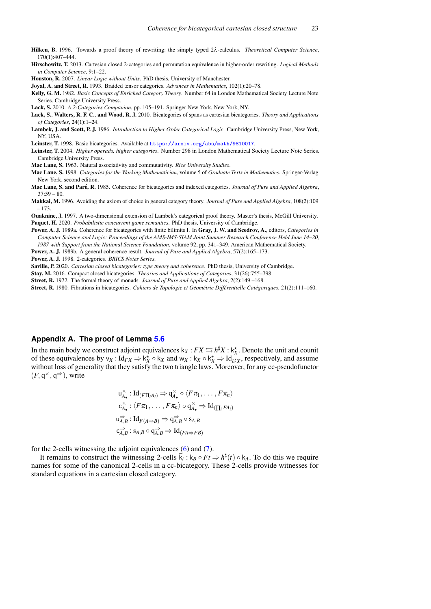<span id="page-22-22"></span>Hilken, B. 1996. Towards a proof theory of rewriting: the simply typed 2λ-calculus. *Theoretical Computer Science*, 170(1):407–444.

<span id="page-22-16"></span>Hirschowitz, T. 2013. Cartesian closed 2-categories and permutation equivalence in higher-order rewriting. *Logical Methods in Computer Science*, 9:1–22.

<span id="page-22-9"></span>Houston, R. 2007. *Linear Logic without Units*. PhD thesis, University of Manchester.

<span id="page-22-8"></span>Joyal, A. and Street, R. 1993. Braided tensor categories. *Advances in Mathematics*, 102(1):20–78.

<span id="page-22-20"></span>Kelly, G. M. 1982. *Basic Concepts of Enriched Category Theory*. Number 64 in London Mathematical Society Lecture Note Series. Cambridge University Press.

<span id="page-22-5"></span>Lack, S. 2010. *A 2-Categories Companion*, pp. 105–191. Springer New York, New York, NY.

- <span id="page-22-15"></span>Lack, S., Walters, R. F. C., and Wood, R. J. 2010. Bicategories of spans as cartesian bicategories. *Theory and Applications of Categories*, 24(1):1–24.
- <span id="page-22-21"></span>Lambek, J. and Scott, P. J. 1986. *Introduction to Higher Order Categorical Logic*. Cambridge University Press, New York, NY, USA.
- <span id="page-22-12"></span>Leinster, T. 1998. Basic bicategories. Available at <https://arxiv.org/abs/math/9810017>.

<span id="page-22-0"></span>Leinster, T. 2004. *Higher operads, higher categories*. Number 298 in London Mathematical Society Lecture Note Series. Cambridge University Press.

<span id="page-22-6"></span>Mac Lane, S. 1963. Natural associativity and commutativity. *Rice University Studies*.

<span id="page-22-13"></span>Mac Lane, S. 1998. *Categories for the Working Mathematician*, volume 5 of *Graduate Texts in Mathematics*. Springer-Verlag New York, second edition.

<span id="page-22-7"></span>Mac Lane, S. and Paré, R. 1985. Coherence for bicategories and indexed categories. *Journal of Pure and Applied Algebra*,  $37:59 - 80.$ 

<span id="page-22-17"></span>Makkai, M. 1996. Avoiding the axiom of choice in general category theory. *Journal of Pure and Applied Algebra*, 108(2):109 – 173.

<span id="page-22-11"></span><span id="page-22-10"></span>Ouaknine, J. 1997. A two-dimensional extension of Lambek's categorical proof theory. Master's thesis, McGill University. Paquet, H. 2020. *Probabilistic concurrent game semantics*. PhD thesis, University of Cambridge.

<span id="page-22-3"></span>Power, A. J. 1989a. Coherence for bicategories with finite bilimits I. In Gray, J. W. and Scedrov, A., editors, *Categories in Computer Science and Logic: Proceedings of the AMS-IMS-SIAM Joint Summer Research Conference Held June 14–20, 1987 with Support from the National Science Foundation*, volume 92, pp. 341–349. American Mathematical Society.

<span id="page-22-4"></span>Power, A. J. 1989b. A general coherence result. *Journal of Pure and Applied Algebra*, 57(2):165–173.

<span id="page-22-14"></span>Power, A. J. 1998. 2-categories. *BRICS Notes Series*.

<span id="page-22-18"></span>Saville, P. 2020. *Cartesian closed bicategories: type theory and coherence*. PhD thesis, University of Cambridge.

<span id="page-22-19"></span>Stay, M. 2016. Compact closed bicategories. *Theories and Applications of Categories*, 31(26):755–798.

<span id="page-22-1"></span>Street, R. 1972. The formal theory of monads. *Journal of Pure and Applied Algebra*, 2(2):149 –168.

<span id="page-22-2"></span>Street, R. 1980. Fibrations in bicategories. *Cahiers de Topologie et Geom ´ etrie Diff ´ erentielle Cat ´ egoriques ´* , 21(2):111–160.

## <span id="page-22-23"></span>**Appendix A. The proof of Lemma [5.6](#page-16-1)**

In the main body we construct adjoint equivalences  $k_X : FX \hookrightarrow h^{\sharp}X : k_X^{\star}$ . Denote the unit and counit of these equivalences by  $v_X : Id_{FX} \Rightarrow k_X^* \circ k_X$  and  $w_X : k_X \circ k_X^* \Rightarrow Id_{h^*X}$ , respectively, and assume without loss of generality that they satisfy the two triangle laws. Moreover, for any cc-pseudofunctor  $(F, q^{\times}, q^{\Rightarrow})$ , write

$$
u_{A_{\bullet}}^{\times}: Id_{(F\Pi_i A_i)} \Rightarrow q_{A_{\bullet}}^{\times} \circ \langle F\pi_1, \dots, F\pi_n \rangle
$$
  
\n
$$
c_{A_{\bullet}}^{\times}: \langle F\pi_1, \dots, F\pi_n \rangle \circ q_{A_{\bullet}}^{\times} \Rightarrow Id_{(\prod_i FA_i)}
$$
  
\n
$$
u_{A,B}^{\Rightarrow}: Id_{F(A \Rightarrow B)} \Rightarrow q_{A,B}^{\Rightarrow} \circ s_{A,B}
$$
  
\n
$$
c_{A,B}^{\Rightarrow}: s_{A,B} \circ q_{A,B}^{\Rightarrow} \Rightarrow Id_{(FA \Rightarrow FB)}
$$

for the 2-cells witnessing the adjoint equivalences [\(6\)](#page-13-2) and [\(7\)](#page-13-3).

It remains to construct the witnessing 2-cells  $\bar{k}_t : k_B \circ Ft \Rightarrow h^{\sharp}(t) \circ k_A$ . To do this we require names for some of the canonical 2-cells in a cc-bicategory. These 2-cells provide witnesses for standard equations in a cartesian closed category.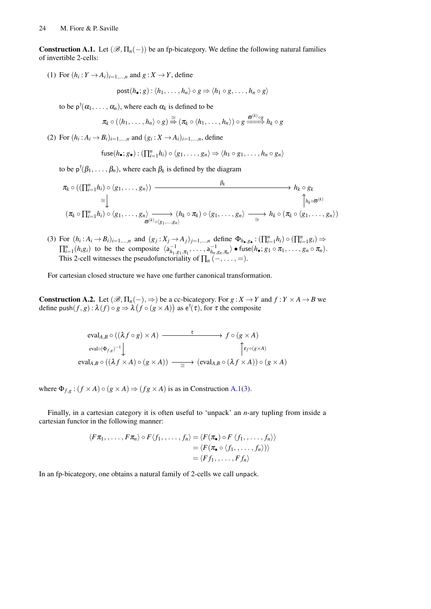<span id="page-23-0"></span>**Construction A.1.** Let  $(\mathscr{B}, \Pi_n(-))$  be an fp-bicategory. We define the following natural families of invertible 2-cells:

(1) For  $(h_i: Y \to A_i)_{i=1,\dots,n}$  and  $g: X \to Y$ , define

$$
\mathsf{post}(h_{\bullet};g): \langle h_1, \ldots, h_n \rangle \circ g \Rightarrow \langle h_1 \circ g, \ldots, h_n \circ g \rangle
$$

to be  $p^{\dagger}(\alpha_1, \ldots, \alpha_n)$ , where each  $\alpha_k$  is defined to be

$$
\pi_k \circ (\langle h_1, \ldots, h_n \rangle \circ g) \stackrel{\cong}{\Rightarrow} (\pi_k \circ \langle h_1, \ldots, h_n \rangle) \circ g \stackrel{\varpi^{(k)} \circ g}{\Longrightarrow} h_k \circ g
$$

(2) For  $(h_i: A_i \to B_i)_{i=1,...,n}$  and  $(g_i: X \to A_i)_{i=1,...,n}$ , define

$$
\mathsf{fuse}(h_{\bullet}; g_{\bullet}): (\prod_{i=1}^{n} h_{i}) \circ \langle g_{1}, \ldots, g_{n} \rangle \Rightarrow \langle h_{1} \circ g_{1}, \ldots, h_{n} \circ g_{n} \rangle
$$

to be  $p^{\dagger}(\beta_1, \ldots, \beta_n)$ , where each  $\beta_k$  is defined by the diagram

$$
\pi_k \circ ((\prod_{i=1}^n h_i) \circ (g_1, \ldots, g_n)) \longrightarrow h_k \circ g_k
$$
\n
$$
\cong \bigcup_{\substack{\alpha \vdash k}} \qquad \qquad \uparrow h_k \circ g_k
$$
\n
$$
(\pi_k \circ \prod_{i=1}^n h_i) \circ (g_1, \ldots, g_n) \longrightarrow (h_k \circ \pi_k) \circ (g_1, \ldots, g_n) \longrightarrow h_k \circ (\pi_k \circ (g_1, \ldots, g_n))
$$

<span id="page-23-1"></span>(3) For  $(h_i: A_i \to B_i)_{i=1,\dots,n}$  and  $(g_j: X_j \to A_j)_{j=1,\dots,n}$  define  $\Phi_{h_{\bullet},g_{\bullet}}: (\prod_{i=1}^n h_i) \circ (\prod_{i=1}^n g_i) \Rightarrow$  $\prod_{i=1}^n (h_i g_i)$  to be the composite  $\langle a_{h_1, g_1, \pi_1}^{-1}, \dots, a_{h_n, g_n, \pi_n}^{-1} \rangle \bullet \text{fuse}(h_{\bullet}; g_1 \circ \pi_1, \dots, g_n \circ \pi_n)$ . This 2-cell witnesses the pseudofunctoriality of  $\prod_n$  (–, ..., =).

For cartesian closed structure we have one further canonical transformation.

**Construction A.2.** Let  $(\mathcal{B}, \Pi_n(-), \Rightarrow)$  be a cc-bicategory. For  $g: X \to Y$  and  $f: Y \times A \to B$  we define  $\text{push}(f, g) : \lambda(f) \circ g \Rightarrow \lambda(f \circ (g \times A))$  as  $e^{\dagger}(\tau)$ , for  $\tau$  the composite

$$
\text{eval}_{A,B} \circ ((\lambda f \circ g) \times A) \xrightarrow{\tau} f \circ (g \times A)
$$
\n
$$
\text{eval}_{A,B} \circ ((\lambda f \times A) \circ (g \times A)) \xrightarrow{\tau} (\text{eval}_{A,B} \circ (\lambda f \times A)) \circ (g \times A)
$$
\n
$$
\text{eval}_{A,B} \circ ((\lambda f \times A) \circ (g \times A)) \xrightarrow{\simeq} (\text{eval}_{A,B} \circ (\lambda f \times A)) \circ (g \times A)
$$

where  $\Phi_{f,g}$ :  $(f \times A) \circ (g \times A) \Rightarrow (fg \times A)$  is as in Construction [A.1\(](#page-23-0)[3\)](#page-23-1).

Finally, in a cartesian category it is often useful to 'unpack' an *n*-ary tupling from inside a cartesian functor in the following manner:

$$
\langle F\pi_1,\ldots,F\pi_n\rangle\circ F\langle f_1,\ldots,f_n\rangle=\langle F(\pi_\bullet)\circ F\langle f_1,\ldots,f_n\rangle\rangle
$$
  

$$
=\langle F(\pi_\bullet\circ\langle f_1,\ldots,f_n\rangle)\rangle
$$
  

$$
=\langle Ff_1,\ldots,Ff_n\rangle
$$

In an fp-bicategory, one obtains a natural family of 2-cells we call unpack.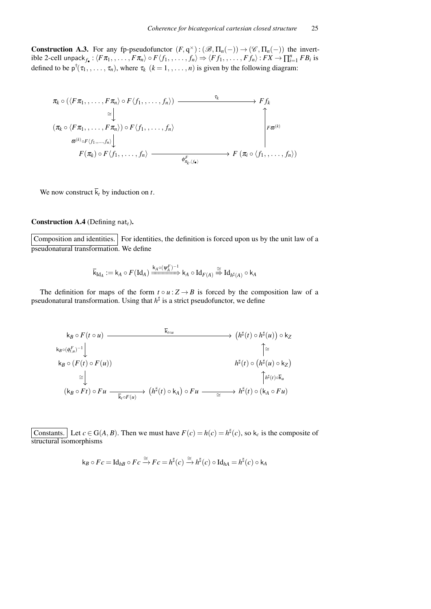**Construction A.3.** For any fp-pseudofunctor  $(F, q^{\times}) : (\mathcal{B}, \Pi_n(-)) \to (\mathcal{C}, \Pi_n(-))$  the invert $i$  ible 2-cell unpack $f_{\bullet}$  :  $\langle F\pi_1, , \ldots, F\pi_n \rangle \circ F \langle f_1, , \ldots, f_n \rangle \Rightarrow \langle Ff_1, , \ldots, Ff_n \rangle : F X \to \prod_{i=1}^n F B_i$  is defined to be  $p^{\dagger}(\tau_1, \ldots, \tau_n)$ , where  $\tau_k$   $(k = 1, \ldots, n)$  is given by the following diagram:

$$
\pi_k \circ (\langle F\pi_1, \ldots, F\pi_n \rangle \circ F \langle f_1, \ldots, f_n \rangle) \longrightarrow F f_k
$$
\n
$$
\cong \downarrow \qquad \qquad \downarrow
$$
\n
$$
(\pi_k \circ \langle F\pi_1, \ldots, F\pi_n \rangle) \circ F \langle f_1, \ldots, f_n \rangle \longrightarrow \uparrow
$$
\n
$$
\sigma^{(k)} \circ F \langle f_1, \ldots, f_n \rangle \longrightarrow F (\pi_i \circ \langle f_1, \ldots, f_n \rangle)
$$
\n
$$
F(\pi_k) \circ F \langle f_1, \ldots, f_n \rangle \longrightarrow F (\pi_i \circ \langle f_1, \ldots, f_n \rangle)
$$

We now construct  $\overline{k}_t$  by induction on *t*.

## Construction A.4 (Defining nat<sub>t</sub>).

Composition and identities. For identities, the definition is forced upon us by the unit law of a pseudonatural transformation. We define

$$
\overline{\mathsf{k}}_{\operatorname{Id}_A}:=\mathsf{k}_A\circ F(\operatorname{Id}_A)\xrightarrow{\mathsf{k}_A\circ (\psi_A^F)^{-1}}\mathsf{k}_A\circ \operatorname{Id}_{F(A)}\overset{\cong}{\Rightarrow} \operatorname{Id}_{\mathsf{h}^\sharp(A)}\circ \mathsf{k}_A
$$

The definition for maps of the form  $t \circ u : Z \to B$  is forced by the composition law of a pseudonatural transformation. Using that  $h^{\sharp}$  is a strict pseudofunctor, we define

$$
k_B \circ F(t \circ u) \longrightarrow \overline{k_{\text{full}}} \qquad (h^{\sharp}(t) \circ h^{\sharp}(u)) \circ k_Z
$$
  
\n
$$
k_{B} \circ (F(t) \circ F(u)) \qquad \qquad h^{\sharp}(t) \circ (h^{\sharp}(u) \circ k_Z)
$$
  
\n
$$
\cong \downarrow \qquad h^{\sharp}(t) \circ (h^{\sharp}(u) \circ k_Z)
$$
  
\n
$$
k_B \circ (F(t) \circ F(u)) \qquad \qquad h^{\sharp}(t) \circ (h^{\sharp}(u) \circ k_Z)
$$
  
\n
$$
k_B \circ F(t) \circ F(u) \qquad \qquad (h^{\sharp}(t) \circ k_A) \circ F u \longrightarrow h^{\sharp}(t) \circ (k_A \circ F u)
$$

Constants. Let  $c \in G(A, B)$ . Then we must have  $F(c) = h(c) = h^{\sharp}(c)$ , so  $k_c$  is the composite of structural isomorphisms

$$
\mathsf{k}_B \circ Fc = \mathrm{Id}_{hB} \circ Fc \xrightarrow{\cong} Fc = h^{\sharp}(c) \xrightarrow{\cong} h^{\sharp}(c) \circ \mathrm{Id}_{hA} = h^{\sharp}(c) \circ \mathsf{k}_A
$$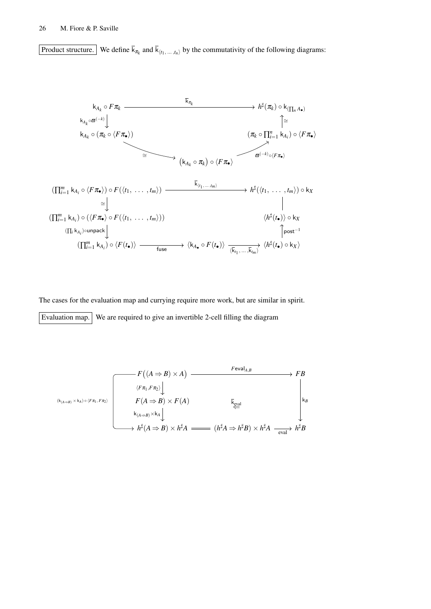Product structure. We define  $k_{\pi_k}$  and  $k_{\langle t_1, \dots, t_n \rangle}$  by the commutativity of the following diagrams:



The cases for the evaluation map and currying require more work, but are similar in spirit. Evaluation map. We are required to give an invertible 2-cell filling the diagram

$$
\begin{array}{c}\n\begin{array}{c}\n\kappa_{(A\Rightarrow B)\times A)} & \xrightarrow{F \text{eval}_{A,B}} \\
\hline\n\langle F\pi_1, F\pi_2 \rangle \downarrow \\
F(A \Rightarrow B) \times F(A) & \downarrow \\
\downarrow \\
\downarrow \\
\downarrow \\
\downarrow \\
\downarrow \\
h^{\sharp}(A \Rightarrow B) \times h^{\sharp}A \longrightarrow (h^{\sharp}A \Rightarrow h^{\sharp}B) \times h^{\sharp}A \longrightarrow h^{\sharp}B\n\end{array}\n\end{array}
$$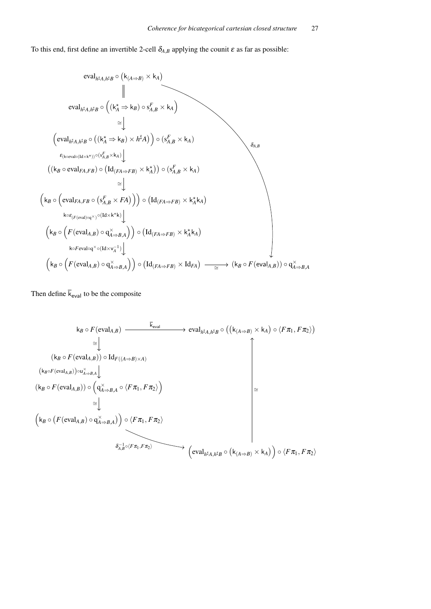To this end, first define an invertible 2-cell  $\delta_{A,B}$  applying the counit  $\varepsilon$  as far as possible:

$$
\text{eval}_{h^{\sharp}A,h^{\sharp}B} \circ (\mathsf{k}_{(A\Rightarrow B)} \times \mathsf{k}_{A})
$$
\n
$$
\parallel
$$
\n
$$
\text{eval}_{h^{\sharp}A,h^{\sharp}B} \circ ((\mathsf{k}_{A}^{*} \Rightarrow \mathsf{k}_{B}) \circ s_{A,B}^{F} \times \mathsf{k}_{A})
$$
\n
$$
\cong \downarrow
$$
\n
$$
(\text{eval}_{h^{\sharp}A,h^{\sharp}B} \circ ((\mathsf{k}_{A}^{*} \Rightarrow \mathsf{k}_{B}) \times h^{\sharp}A)) \circ (s_{A,B}^{F} \times \mathsf{k}_{A})
$$
\n
$$
\in_{(\text{keval} \circ (\text{idx} \times \mathsf{k}^{*}))} \circ (\mathsf{Id}_{(FA \Rightarrow FB)} \times \mathsf{k}_{A}^{*})) \circ (s_{A,B}^{F} \times \mathsf{k}_{A})
$$
\n
$$
\cong \downarrow
$$
\n
$$
(\mathsf{k}_{B} \circ (\text{eval}_{FA,FB} \circ (s_{A,B}^{F} \times FA))) \circ (\mathsf{Id}_{(FA \Rightarrow FB)} \times \mathsf{k}_{A}^{*} \mathsf{k}_{A})
$$
\n
$$
\downarrow \qquad \qquad \downarrow \qquad \qquad \downarrow \qquad \qquad \downarrow \qquad \qquad \downarrow \qquad \qquad \downarrow \qquad \qquad \downarrow \qquad \qquad \downarrow \qquad \qquad \downarrow \qquad \qquad \downarrow \qquad \qquad \downarrow \qquad \qquad \downarrow \qquad \qquad \downarrow \qquad \qquad \downarrow \qquad \qquad \downarrow \qquad \qquad \downarrow \qquad \qquad \downarrow \qquad \qquad \downarrow \qquad \qquad \downarrow \qquad \qquad \downarrow \qquad \qquad \downarrow \qquad \qquad \downarrow \qquad \qquad \downarrow \qquad \qquad \downarrow \qquad \qquad \downarrow \qquad \qquad \downarrow \qquad \qquad \downarrow \qquad \qquad \downarrow \qquad \qquad \downarrow \qquad \qquad \downarrow \qquad \qquad \downarrow \qquad \qquad \downarrow \qquad \qquad \downarrow \qquad \qquad \downarrow \qquad \qquad \downarrow \qquad \qquad \downarrow \qquad \qquad \downarrow \qquad \qquad \downarrow \qquad \qquad \downarrow \qquad \qquad \downarrow \qquad \qquad \downarrow \q
$$

Then define  $\bar{k}_{eval}$  to be the composite

$$
k_B \circ F(\text{eval}_{A,B}) \xrightarrow{\overline{k}_{eval}} \text{eval}_{h^{\sharp}A,h^{\sharp}B} \circ ((k_{(A \Rightarrow B)} \times k_A) \circ \langle F \pi_1, F \pi_2 \rangle)
$$
\n
$$
\cong \downarrow \qquad (k_B \circ F(\text{eval}_{A,B})) \circ \text{Id}_{F((A \Rightarrow B) \times A)}
$$
\n
$$
(k_B \circ F(\text{eval}_{A,B})) \circ \downarrow_{A \Rightarrow B,A} \downarrow
$$
\n
$$
(k_B \circ F(\text{eval}_{A,B})) \circ \left( q_{A \Rightarrow B,A}^{\times} \circ \langle F \pi_1, F \pi_2 \rangle \right)
$$
\n
$$
\cong \downarrow \qquad (k_B \circ (F(\text{eval}_{A,B}) \circ q_{A \Rightarrow B,A}^{\times})) \circ \langle F \pi_1, F \pi_2 \rangle
$$
\n
$$
\circ \downarrow_{A,B}^{-1} \circ \langle F \pi_1, F \pi_2 \rangle
$$
\n
$$
\circ \downarrow_{A,B}^{-1} \circ \langle F \pi_1, F \pi_2 \rangle
$$
\n
$$
\left( \text{eval}_{h^{\sharp}A,h^{\sharp}B} \circ (k_{(A \Rightarrow B)} \times k_A) \right) \circ \langle F \pi_1, F \pi_2 \rangle
$$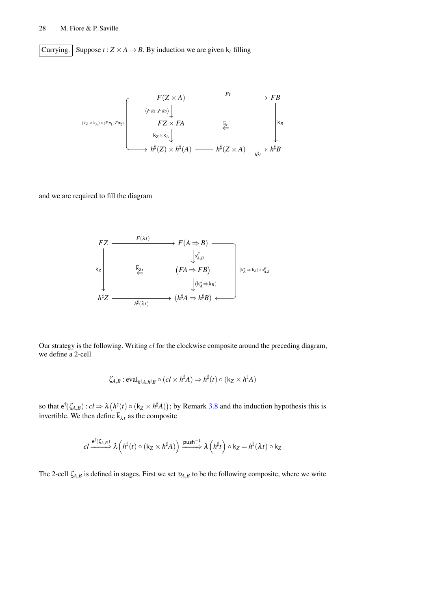Currying. Suppose  $t : Z \times A \rightarrow B$ . By induction we are given  $\overline{k}_t$  filling

*F*(*Z* × *A*) *FB FZ* × *FA h* ] (*Z*) × *h* ] (*A*) *h* ] (*Z* × *A*) *h* ]*B* (k*<sup>Z</sup>* × k*A*) ◦ h*F*π<sup>1</sup> , *F*π<sup>2</sup> h*F*π1,*F*π2i ⇐ k*t Ft* k*B* k*Z*×k*<sup>A</sup> h* ] *t*

and we are required to fill the diagram

$$
FZ \longrightarrow F(A \Rightarrow B) \longrightarrow F(A \Rightarrow B)
$$
\n
$$
\downarrow s_{A,B}^F
$$
\n
$$
k_Z
$$
\n
$$
\downarrow (FA \Rightarrow FB)
$$
\n
$$
\downarrow (k_A^* \Rightarrow k_B)
$$
\n
$$
h^{\sharp}Z \longrightarrow (h^{\sharp}A \Rightarrow h^{\sharp}B) \longleftarrow
$$

Our strategy is the following. Writing *cl* for the clockwise composite around the preceding diagram, we define a 2-cell

$$
\zeta_{A,B}: \mathrm{eval}_{h^\sharp A, h^\sharp B} \circ (cl \times h^\sharp A) \Rightarrow h^\sharp(t) \circ (\mathsf{k}_Z \times h^\sharp A)
$$

so that  $e^{\dagger}(\zeta_{A,B}): cl \Rightarrow \lambda (h^{\sharp}(t) \circ (k_Z \times h^{\sharp}A));$  by Remark [3.8](#page-11-1) and the induction hypothesis this is invertible. We then define  $\overline{k}_{\lambda t}$  as the composite

$$
cl \xrightarrow{\mathbf{e}^{\dagger}(\zeta_{A,B})} \lambda \left( h^{\sharp}(t) \circ (\mathbf{k}_{Z} \times h^{\sharp} A) \right) \xrightarrow{\mathbf{push}^{-1}} \lambda \left( h^{\sharp} t \right) \circ \mathbf{k}_{Z} = h^{\sharp}(\lambda t) \circ \mathbf{k}_{Z}
$$

The 2-cell  $\zeta_{A,B}$  is defined in stages. First we set  $v_{A,B}$  to be the following composite, where we write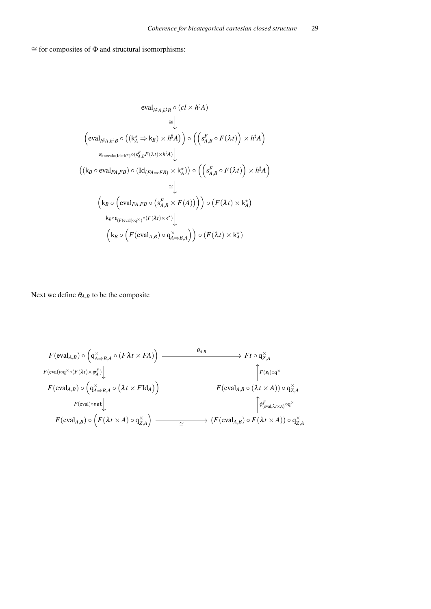$\cong$  for composites of  $\Phi$  and structural isomorphisms:

$$
\mathrm{eval}_{h^{\sharp}A,h^{\sharp}B} \circ (cl \times h^{\sharp}A)
$$
\n
$$
\cong \downarrow
$$
\n
$$
\left(\mathrm{eval}_{h^{\sharp}A,h^{\sharp}B} \circ ((\mathsf{k}_{A}^{\star} \Rightarrow \mathsf{k}_{B}) \times h^{\sharp}A)) \circ ((\mathsf{s}_{A,B}^{F} \circ F(\lambda t)) \times h^{\sharp}A)
$$
\n
$$
\in_{\mathrm{keval}\circ(\mathrm{Id}\times\mathsf{k}^{\star})}\circ(\mathsf{s}_{A,B}^{F}F(\lambda t)\times h^{\sharp}A)\downarrow
$$
\n
$$
((\mathsf{k}_{B}\circ \mathrm{eval}_{FA,FB}) \circ (\mathrm{Id}_{(FA\Rightarrow FB)} \times \mathsf{k}_{A}^{\star})) \circ ((\mathsf{s}_{A,B}^{F} \circ F(\lambda t)) \times h^{\sharp}A)
$$
\n
$$
\cong \downarrow
$$
\n
$$
(\mathsf{k}_{B}\circ (\mathrm{eval}_{FA,FB} \circ (\mathsf{s}_{A,B}^{F} \times F(A))) \circ (F(\lambda t) \times \mathsf{k}_{A}^{\star})
$$
\n
$$
\mathsf{k}_{B}\circ \mathsf{E}_{(F(\mathrm{eval})\circ q^{\times})}\circ (F(\lambda t)\times \mathsf{k}^{\star})\downarrow
$$
\n
$$
(\mathsf{k}_{B}\circ (F(\mathrm{eval}_{A,B}) \circ \mathsf{q}_{A\Rightarrow B,A}^{\times})) \circ (F(\lambda t) \times \mathsf{k}_{A}^{\star})
$$

Next we define  $\theta_{A,B}$  to be the composite

$$
F(\text{eval}_{A,B}) \circ \left( q^{\times}_{A \Rightarrow B,A} \circ (F \lambda t \times F A) \right) \xrightarrow{\theta_{A,B}} F t \circ q^{\times}_{Z,A}
$$
  
\n
$$
F(\text{eval}) \circ q^{\times} \circ (F(\lambda t) \times \psi_{A}^{F}) \downarrow \qquad \qquad \downarrow
$$
  
\n
$$
F(\text{eval}_{A,B}) \circ \left( q^{\times}_{A \Rightarrow B,A} \circ (\lambda t \times F \text{Id}_{A}) \right) \xrightarrow{\qquad \qquad} F(\text{eval}_{A,B} \circ (\lambda t \times A)) \circ q^{\times}_{Z,A}
$$
  
\n
$$
F(\text{eval}_{A,B}) \circ \left( F(\lambda t \times A) \circ q^{\times}_{Z,A} \right) \xrightarrow{\qquad \qquad} (F(\text{eval}_{A,B}) \circ F(\lambda t \times A)) \circ q^{\times}_{Z,A}
$$